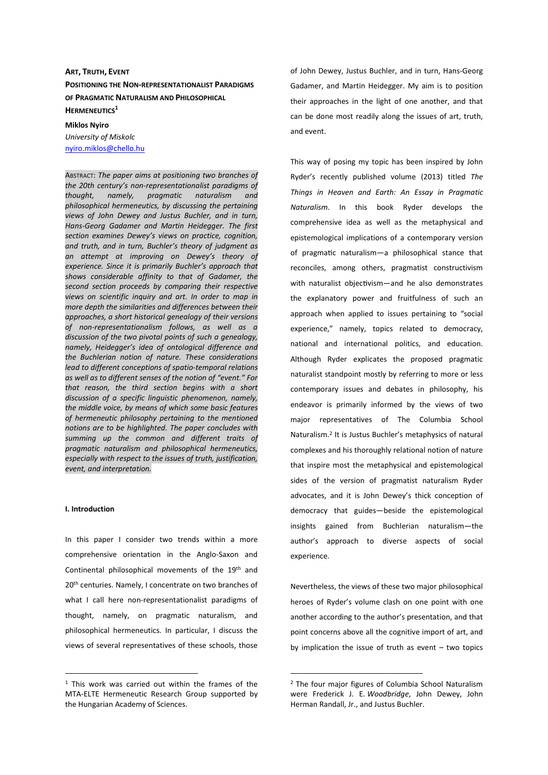# **ART, TRUTH, EVENT POSITIONING THE NON-REPRESENTATIONALIST PARADIGMS OF PRAGMATIC NATURALISM AND PHILOSOPHICAL HERMENEUTICS<sup>1</sup>**

**Miklos Nyiro**  *University of Miskolc*  nyiro.miklos@chello.hu

ABSTRACT: *The paper aims at positioning two branches of the 20th century's non-representationalist paradigms of thought, namely, pragmatic naturalism and philosophical hermeneutics, by discussing the pertaining views of John Dewey and Justus Buchler, and in turn, Hans-Georg Gadamer and Martin Heidegger. The first section examines Dewey's views on practice, cognition, and truth, and in turn, Buchler's theory of judgment as an attempt at improving on Dewey's theory of experience. Since it is primarily Buchler's approach that shows considerable affinity to that of Gadamer, the second section proceeds by comparing their respective views on scientific inquiry and art. In order to map in more depth the similarities and differences between their approaches, a short historical genealogy of their versions of non-representationalism follows, as well as a discussion of the two pivotal points of such a genealogy, namely, Heidegger's idea of ontological difference and the Buchlerian notion of nature. These considerations lead to different conceptions of spatio-temporal relations as well as to different senses of the notion of "event." For that reason, the third section begins with a short discussion of a specific linguistic phenomenon, namely, the middle voice, by means of which some basic features of hermeneutic philosophy pertaining to the mentioned notions are to be highlighted. The paper concludes with summing up the common and different traits of pragmatic naturalism and philosophical hermeneutics, especially with respect to the issues of truth, justification, event, and interpretation.*

#### **I. Introduction**

 $\overline{a}$ 

In this paper I consider two trends within a more comprehensive orientation in the Anglo-Saxon and Continental philosophical movements of the 19th and 20<sup>th</sup> centuries. Namely, I concentrate on two branches of what I call here non-representationalist paradigms of thought, namely, on pragmatic naturalism, and philosophical hermeneutics. In particular, I discuss the views of several representatives of these schools, those

of John Dewey, Justus Buchler, and in turn, Hans-Georg Gadamer, and Martin Heidegger. My aim is to position their approaches in the light of one another, and that can be done most readily along the issues of art, truth, and event.

This way of posing my topic has been inspired by John Ryder's recently published volume (2013) titled *The Things in Heaven and Earth: An Essay in Pragmatic Naturalism*. In this book Ryder develops the comprehensive idea as well as the metaphysical and epistemological implications of a contemporary version of pragmatic naturalism-a philosophical stance that reconciles, among others, pragmatist constructivism with naturalist objectivism-and he also demonstrates the explanatory power and fruitfulness of such an approach when applied to issues pertaining to "social experience," namely, topics related to democracy, national and international politics, and education. Although Ryder explicates the proposed pragmatic naturalist standpoint mostly by referring to more or less contemporary issues and debates in philosophy, his endeavor is primarily informed by the views of two major representatives of The Columbia School Naturalism.<sup>2</sup> It is Justus Buchler's metaphysics of natural complexes and his thoroughly relational notion of nature that inspire most the metaphysical and epistemological sides of the version of pragmatist naturalism Ryder advocates, and it is John Dewey's thick conception of democracy that guides―beside the epistemological insights gained from Buchlerian naturalism―the author's approach to diverse aspects of social experience.

Nevertheless, the views of these two major philosophical heroes of Ryder's volume clash on one point with one another according to the author's presentation, and that point concerns above all the cognitive import of art, and by implication the issue of truth as event  $-$  two topics

 $\overline{a}$ 

<sup>&</sup>lt;sup>1</sup> This work was carried out within the frames of the MTA-ELTE Hermeneutic Research Group supported by the Hungarian Academy of Sciences.

<sup>2</sup> The four major figures of Columbia School Naturalism were Frederick J. E. *Woodbridge*, John Dewey, John Herman Randall, Jr., and Justus Buchler.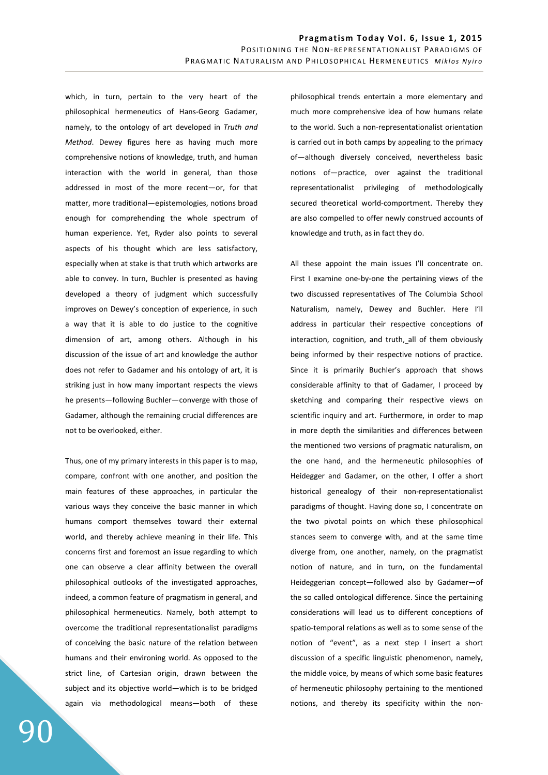which, in turn, pertain to the very heart of the philosophical hermeneutics of Hans-Georg Gadamer, namely, to the ontology of art developed in *Truth and Method*. Dewey figures here as having much more comprehensive notions of knowledge, truth, and human interaction with the world in general, than those addressed in most of the more recent―or, for that matter, more traditional—epistemologies, notions broad enough for comprehending the whole spectrum of human experience. Yet, Ryder also points to several aspects of his thought which are less satisfactory, especially when at stake is that truth which artworks are able to convey. In turn, Buchler is presented as having developed a theory of judgment which successfully improves on Dewey's conception of experience, in such a way that it is able to do justice to the cognitive dimension of art, among others. Although in his discussion of the issue of art and knowledge the author does not refer to Gadamer and his ontology of art, it is striking just in how many important respects the views he presents―following Buchler―converge with those of Gadamer, although the remaining crucial differences are not to be overlooked, either.

Thus, one of my primary interests in this paper is to map, compare, confront with one another, and position the main features of these approaches, in particular the various ways they conceive the basic manner in which humans comport themselves toward their external world, and thereby achieve meaning in their life. This concerns first and foremost an issue regarding to which one can observe a clear affinity between the overall philosophical outlooks of the investigated approaches, indeed, a common feature of pragmatism in general, and philosophical hermeneutics. Namely, both attempt to overcome the traditional representationalist paradigms of conceiving the basic nature of the relation between humans and their environing world. As opposed to the strict line, of Cartesian origin, drawn between the subject and its objective world—which is to be bridged again via methodological means―both of these philosophical trends entertain a more elementary and much more comprehensive idea of how humans relate to the world. Such a non-representationalist orientation is carried out in both camps by appealing to the primacy of―although diversely conceived, nevertheless basic notions of-practice, over against the traditional representationalist privileging of methodologically secured theoretical world-comportment. Thereby they are also compelled to offer newly construed accounts of knowledge and truth, as in fact they do.

All these appoint the main issues I'll concentrate on. First I examine one-by-one the pertaining views of the two discussed representatives of The Columbia School Naturalism, namely, Dewey and Buchler. Here I'll address in particular their respective conceptions of interaction, cognition, and truth, all of them obviously being informed by their respective notions of practice. Since it is primarily Buchler's approach that shows considerable affinity to that of Gadamer, I proceed by sketching and comparing their respective views on scientific inquiry and art. Furthermore, in order to map in more depth the similarities and differences between the mentioned two versions of pragmatic naturalism, on the one hand, and the hermeneutic philosophies of Heidegger and Gadamer, on the other, I offer a short historical genealogy of their non-representationalist paradigms of thought. Having done so, I concentrate on the two pivotal points on which these philosophical stances seem to converge with, and at the same time diverge from, one another, namely, on the pragmatist notion of nature, and in turn, on the fundamental Heideggerian concept―followed also by Gadamer―of the so called ontological difference. Since the pertaining considerations will lead us to different conceptions of spatio-temporal relations as well as to some sense of the notion of "event", as a next step I insert a short discussion of a specific linguistic phenomenon, namely, the middle voice, by means of which some basic features of hermeneutic philosophy pertaining to the mentioned notions, and thereby its specificity within the non-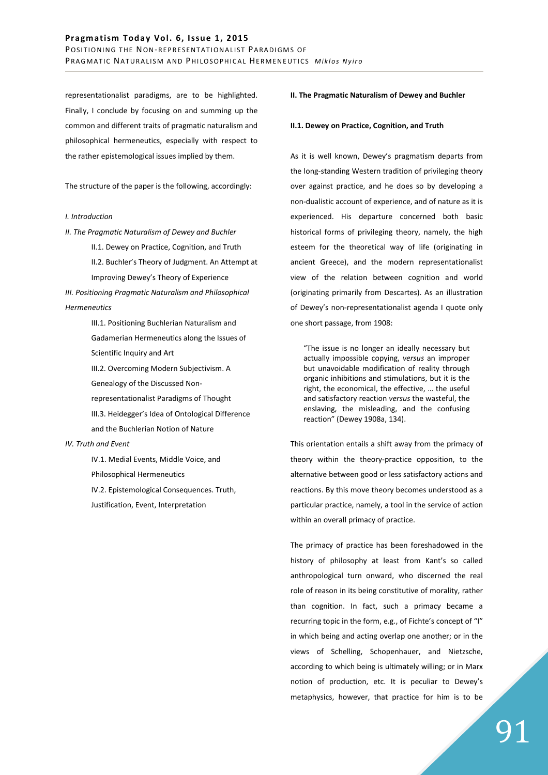representationalist paradigms, are to be highlighted. Finally, I conclude by focusing on and summing up the common and different traits of pragmatic naturalism and philosophical hermeneutics, especially with respect to the rather epistemological issues implied by them.

The structure of the paper is the following, accordingly:

#### *I. Introduction*

*II. The Pragmatic Naturalism of Dewey and Buchler*  II.1. Dewey on Practice, Cognition, and Truth II.2. Buchler's Theory of Judgment. An Attempt at Improving Dewey's Theory of Experience *III. Positioning Pragmatic Naturalism and Philosophical* 

*Hermeneutics* 

- III.1. Positioning Buchlerian Naturalism and Gadamerian Hermeneutics along the Issues of Scientific Inquiry and Art
- III.2. Overcoming Modern Subjectivism. A Genealogy of the Discussed Non-
- representationalist Paradigms of Thought
- III.3. Heidegger's Idea of Ontological Difference and the Buchlerian Notion of Nature

#### *IV. Truth and Event*

IV.1. Medial Events, Middle Voice, and Philosophical Hermeneutics IV.2. Epistemological Consequences. Truth, Justification, Event, Interpretation

## **II. The Pragmatic Naturalism of Dewey and Buchler**

#### **II.1. Dewey on Practice, Cognition, and Truth**

As it is well known, Dewey's pragmatism departs from the long-standing Western tradition of privileging theory over against practice, and he does so by developing a non-dualistic account of experience, and of nature as it is experienced. His departure concerned both basic historical forms of privileging theory, namely, the high esteem for the theoretical way of life (originating in ancient Greece), and the modern representationalist view of the relation between cognition and world (originating primarily from Descartes). As an illustration of Dewey's non-representationalist agenda I quote only one short passage, from 1908:

"The issue is no longer an ideally necessary but actually impossible copying, *versus* an improper but unavoidable modification of reality through organic inhibitions and stimulations, but it is the right, the economical, the effective, … the useful and satisfactory reaction *versus* the wasteful, the enslaving, the misleading, and the confusing reaction" (Dewey 1908a, 134).

This orientation entails a shift away from the primacy of theory within the theory-practice opposition, to the alternative between good or less satisfactory actions and reactions. By this move theory becomes understood as a particular practice, namely, a tool in the service of action within an overall primacy of practice.

The primacy of practice has been foreshadowed in the history of philosophy at least from Kant's so called anthropological turn onward, who discerned the real role of reason in its being constitutive of morality, rather than cognition. In fact, such a primacy became a recurring topic in the form, e.g., of Fichte's concept of "I" in which being and acting overlap one another; or in the views of Schelling, Schopenhauer, and Nietzsche, according to which being is ultimately willing; or in Marx notion of production, etc. It is peculiar to Dewey's metaphysics, however, that practice for him is to be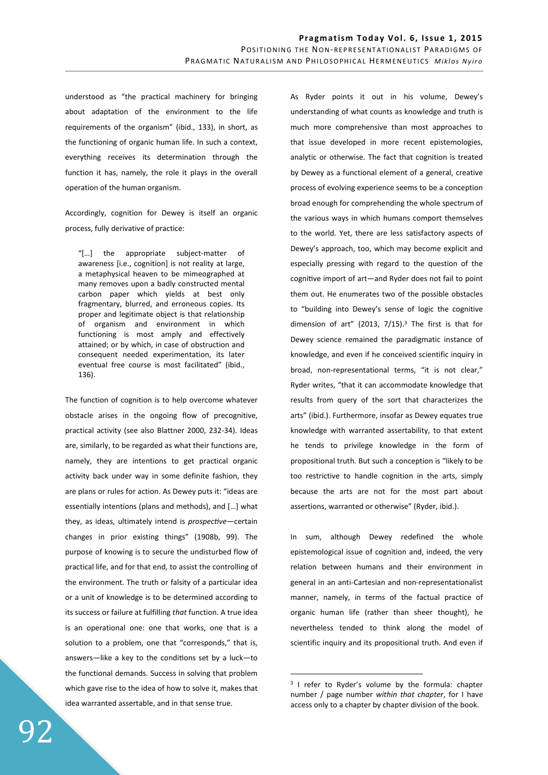understood as "the practical machinery for bringing about adaptation of the environment to the life requirements of the organism" (ibid., 133), in short, as the functioning of organic human life. In such a context, everything receives its determination through the function it has, namely, the role it plays in the overall operation of the human organism.

Accordingly, cognition for Dewey is itself an organic process, fully derivative of practice:

"[…] the appropriate subject-matter of awareness [i.e., cognition] is not reality at large, a metaphysical heaven to be mimeographed at many removes upon a badly constructed mental carbon paper which yields at best only fragmentary, blurred, and erroneous copies. Its proper and legitimate object is that relationship of organism and environment in which functioning is most amply and effectively attained; or by which, in case of obstruction and consequent needed experimentation, its later eventual free course is most facilitated" (ibid., 136).

The function of cognition is to help overcome whatever obstacle arises in the ongoing flow of precognitive, practical activity (see also Blattner 2000, 232-34). Ideas are, similarly, to be regarded as what their functions are, namely, they are intentions to get practical organic activity back under way in some definite fashion, they are plans or rules for action. As Dewey puts it: "ideas are essentially intentions (plans and methods), and […] what they, as ideas, ultimately intend is *prospective*—certain changes in prior existing things" (1908b, 99). The purpose of knowing is to secure the undisturbed flow of practical life, and for that end, to assist the controlling of the environment. The truth or falsity of a particular idea or a unit of knowledge is to be determined according to its success or failure at fulfilling *that* function. A true idea is an operational one: one that works, one that is a solution to a problem, one that "corresponds," that is, answers―like a key to the condifons set by a luck―to the functional demands. Success in solving that problem which gave rise to the idea of how to solve it, makes that idea warranted assertable, and in that sense true.

As Ryder points it out in his volume, Dewey's understanding of what counts as knowledge and truth is much more comprehensive than most approaches to that issue developed in more recent epistemologies, analytic or otherwise. The fact that cognition is treated by Dewey as a functional element of a general, creative process of evolving experience seems to be a conception broad enough for comprehending the whole spectrum of the various ways in which humans comport themselves to the world. Yet, there are less satisfactory aspects of Dewey's approach, too, which may become explicit and especially pressing with regard to the question of the cognitive import of art—and Ryder does not fail to point them out. He enumerates two of the possible obstacles to "building into Dewey's sense of logic the cognitive dimension of art" (2013,  $7/15$ ).<sup>3</sup> The first is that for Dewey science remained the paradigmatic instance of knowledge, and even if he conceived scientific inquiry in broad, non-representational terms, "it is not clear," Ryder writes, "that it can accommodate knowledge that results from query of the sort that characterizes the arts" (ibid.). Furthermore, insofar as Dewey equates true knowledge with warranted assertability, to that extent he tends to privilege knowledge in the form of propositional truth. But such a conception is "likely to be too restrictive to handle cognition in the arts, simply because the arts are not for the most part about assertions, warranted or otherwise" (Ryder, ibid.).

In sum, although Dewey redefined the whole epistemological issue of cognition and, indeed, the very relation between humans and their environment in general in an anti-Cartesian and non-representationalist manner, namely, in terms of the factual practice of organic human life (rather than sheer thought), he nevertheless tended to think along the model of scientific inquiry and its propositional truth. And even if

 $\overline{a}$ 

<sup>&</sup>lt;sup>3</sup> I refer to Ryder's volume by the formula: chapter number / page number *within that chapter*, for I have access only to a chapter by chapter division of the book.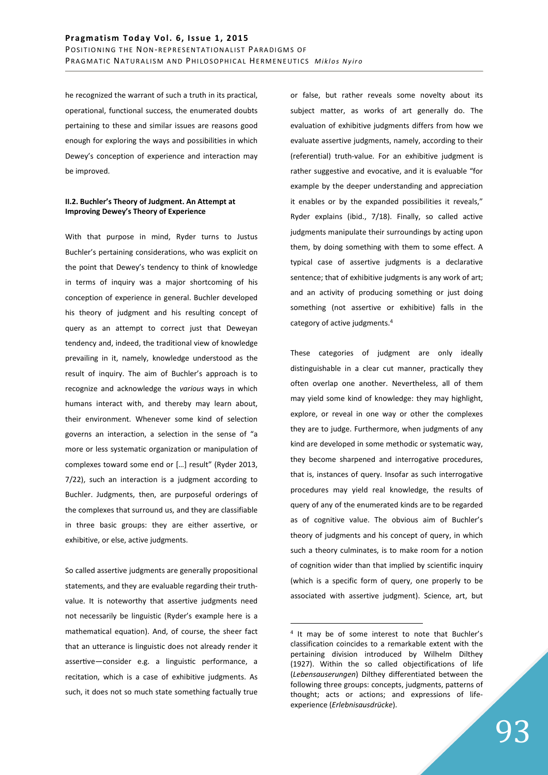he recognized the warrant of such a truth in its practical, operational, functional success, the enumerated doubts pertaining to these and similar issues are reasons good enough for exploring the ways and possibilities in which Dewey's conception of experience and interaction may be improved.

## **II.2. Buchler's Theory of Judgment. An Attempt at Improving Dewey's Theory of Experience**

With that purpose in mind, Ryder turns to Justus Buchler's pertaining considerations, who was explicit on the point that Dewey's tendency to think of knowledge in terms of inquiry was a major shortcoming of his conception of experience in general. Buchler developed his theory of judgment and his resulting concept of query as an attempt to correct just that Deweyan tendency and, indeed, the traditional view of knowledge prevailing in it, namely, knowledge understood as the result of inquiry. The aim of Buchler's approach is to recognize and acknowledge the *various* ways in which humans interact with, and thereby may learn about, their environment. Whenever some kind of selection governs an interaction, a selection in the sense of "a more or less systematic organization or manipulation of complexes toward some end or […] result" (Ryder 2013, 7/22), such an interaction is a judgment according to Buchler. Judgments, then, are purposeful orderings of the complexes that surround us, and they are classifiable in three basic groups: they are either assertive, or exhibitive, or else, active judgments.

So called assertive judgments are generally propositional statements, and they are evaluable regarding their truthvalue. It is noteworthy that assertive judgments need not necessarily be linguistic (Ryder's example here is a mathematical equation). And, of course, the sheer fact that an utterance is linguistic does not already render it assertive-consider e.g. a linguistic performance, a recitation, which is a case of exhibitive judgments. As such, it does not so much state something factually true

or false, but rather reveals some novelty about its subject matter, as works of art generally do. The evaluation of exhibitive judgments differs from how we evaluate assertive judgments, namely, according to their (referential) truth-value. For an exhibitive judgment is rather suggestive and evocative, and it is evaluable "for example by the deeper understanding and appreciation it enables or by the expanded possibilities it reveals," Ryder explains (ibid., 7/18). Finally, so called active judgments manipulate their surroundings by acting upon them, by doing something with them to some effect. A typical case of assertive judgments is a declarative sentence; that of exhibitive judgments is any work of art; and an activity of producing something or just doing something (not assertive or exhibitive) falls in the category of active judgments.<sup>4</sup>

These categories of judgment are only ideally distinguishable in a clear cut manner, practically they often overlap one another. Nevertheless, all of them may yield some kind of knowledge: they may highlight, explore, or reveal in one way or other the complexes they are to judge. Furthermore, when judgments of any kind are developed in some methodic or systematic way, they become sharpened and interrogative procedures, that is, instances of query. Insofar as such interrogative procedures may yield real knowledge, the results of query of any of the enumerated kinds are to be regarded as of cognitive value. The obvious aim of Buchler's theory of judgments and his concept of query, in which such a theory culminates, is to make room for a notion of cognition wider than that implied by scientific inquiry (which is a specific form of query, one properly to be associated with assertive judgment). Science, art, but

 $\overline{a}$ 

<sup>&</sup>lt;sup>4</sup> It may be of some interest to note that Buchler's classification coincides to a remarkable extent with the pertaining division introduced by Wilhelm Dilthey (1927). Within the so called objectifications of life (*Lebensauserungen*) Dilthey differentiated between the following three groups: concepts, judgments, patterns of thought; acts or actions; and expressions of lifeexperience (*Erlebnisausdrücke*).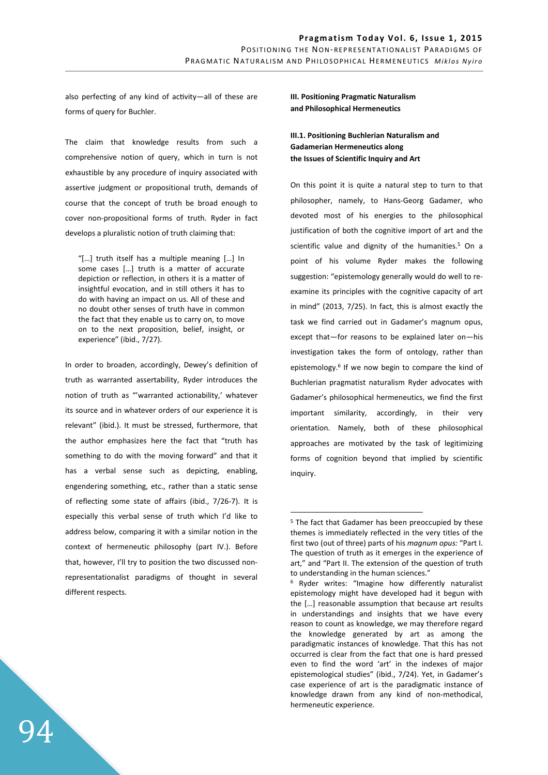also perfecting of any kind of activity-all of these are forms of query for Buchler.

The claim that knowledge results from such a comprehensive notion of query, which in turn is not exhaustible by any procedure of inquiry associated with assertive judgment or propositional truth, demands of course that the concept of truth be broad enough to cover non-propositional forms of truth. Ryder in fact develops a pluralistic notion of truth claiming that:

"[…] truth itself has a multiple meaning […] In some cases […] truth is a matter of accurate depiction or reflection, in others it is a matter of insightful evocation, and in still others it has to do with having an impact on us. All of these and no doubt other senses of truth have in common the fact that they enable us to carry on, to move on to the next proposition, belief, insight, or experience" (ibid., 7/27).

In order to broaden, accordingly, Dewey's definition of truth as warranted assertability, Ryder introduces the notion of truth as "'warranted actionability,' whatever its source and in whatever orders of our experience it is relevant" (ibid.). It must be stressed, furthermore, that the author emphasizes here the fact that "truth has something to do with the moving forward" and that it has a verbal sense such as depicting, enabling, engendering something, etc., rather than a static sense of reflecting some state of affairs (ibid., 7/26-7). It is especially this verbal sense of truth which I'd like to address below, comparing it with a similar notion in the context of hermeneutic philosophy (part IV.). Before that, however, I'll try to position the two discussed nonrepresentationalist paradigms of thought in several different respects.

**III. Positioning Pragmatic Naturalism and Philosophical Hermeneutics** 

**III.1. Positioning Buchlerian Naturalism and Gadamerian Hermeneutics along the Issues of Scientific Inquiry and Art** 

On this point it is quite a natural step to turn to that philosopher, namely, to Hans-Georg Gadamer, who devoted most of his energies to the philosophical justification of both the cognitive import of art and the scientific value and dignity of the humanities.<sup>5</sup> On a point of his volume Ryder makes the following suggestion: "epistemology generally would do well to reexamine its principles with the cognitive capacity of art in mind" (2013, 7/25). In fact, this is almost exactly the task we find carried out in Gadamer's magnum opus, except that―for reasons to be explained later on―his investigation takes the form of ontology, rather than epistemology.<sup>6</sup> If we now begin to compare the kind of Buchlerian pragmatist naturalism Ryder advocates with Gadamer's philosophical hermeneutics, we find the first important similarity, accordingly, in their very orientation. Namely, both of these philosophical approaches are motivated by the task of legitimizing forms of cognition beyond that implied by scientific inquiry.

 $\overline{a}$ 

<sup>&</sup>lt;sup>5</sup> The fact that Gadamer has been preoccupied by these themes is immediately reflected in the very titles of the first two (out of three) parts of his *magnum opus:* "Part I. The question of truth as it emerges in the experience of art," and "Part II. The extension of the question of truth to understanding in the human sciences."

<sup>6</sup> Ryder writes: "Imagine how differently naturalist epistemology might have developed had it begun with the […] reasonable assumption that because art results in understandings and insights that we have every reason to count as knowledge, we may therefore regard the knowledge generated by art as among the paradigmatic instances of knowledge. That this has not occurred is clear from the fact that one is hard pressed even to find the word 'art' in the indexes of major epistemological studies" (ibid., 7/24). Yet, in Gadamer's case experience of art is the paradigmatic instance of knowledge drawn from any kind of non-methodical, hermeneutic experience.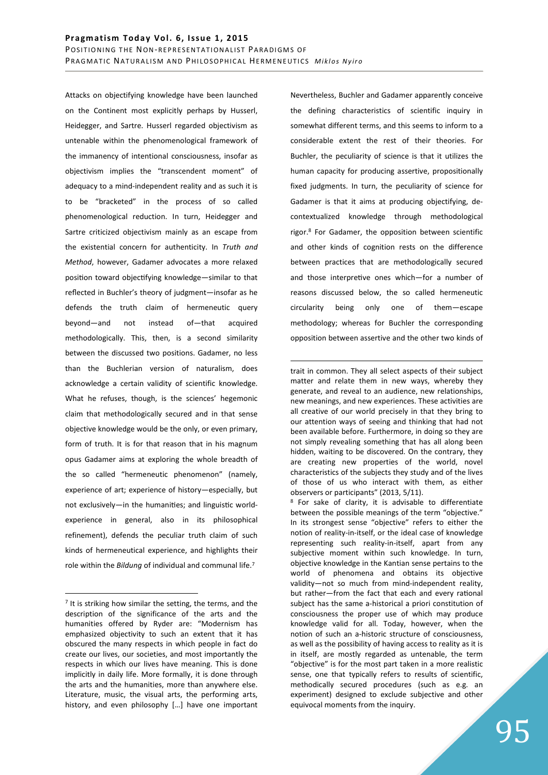Attacks on objectifying knowledge have been launched on the Continent most explicitly perhaps by Husserl, Heidegger, and Sartre. Husserl regarded objectivism as untenable within the phenomenological framework of the immanency of intentional consciousness, insofar as objectivism implies the "transcendent moment" of adequacy to a mind-independent reality and as such it is to be "bracketed" in the process of so called phenomenological reduction. In turn, Heidegger and Sartre criticized objectivism mainly as an escape from the existential concern for authenticity. In *Truth and Method*, however, Gadamer advocates a more relaxed position toward objectifying knowledge-similar to that reflected in Buchler's theory of judgment―insofar as he defends the truth claim of hermeneutic query beyond―and not instead of―that acquired methodologically. This, then, is a second similarity between the discussed two positions. Gadamer, no less than the Buchlerian version of naturalism, does acknowledge a certain validity of scientific knowledge. What he refuses, though, is the sciences' hegemonic claim that methodologically secured and in that sense objective knowledge would be the only, or even primary, form of truth. It is for that reason that in his magnum opus Gadamer aims at exploring the whole breadth of the so called "hermeneutic phenomenon" (namely, experience of art; experience of history―especially, but not exclusively-in the humanities; and linguistic worldexperience in general, also in its philosophical refinement), defends the peculiar truth claim of such kinds of hermeneutical experience, and highlights their role within the *Bildung* of individual and communal life.<sup>7</sup>

 $\overline{a}$ 

Nevertheless, Buchler and Gadamer apparently conceive the defining characteristics of scientific inquiry in somewhat different terms, and this seems to inform to a considerable extent the rest of their theories. For Buchler, the peculiarity of science is that it utilizes the human capacity for producing assertive, propositionally fixed judgments. In turn, the peculiarity of science for Gadamer is that it aims at producing objectifying, decontextualized knowledge through methodological rigor.<sup>8</sup> For Gadamer, the opposition between scientific and other kinds of cognition rests on the difference between practices that are methodologically secured and those interpretive ones which-for a number of reasons discussed below, the so called hermeneutic circularity being only one of them―escape methodology; whereas for Buchler the corresponding opposition between assertive and the other two kinds of

 $\overline{a}$ trait in common. They all select aspects of their subject matter and relate them in new ways, whereby they generate, and reveal to an audience, new relationships, new meanings, and new experiences. These activities are all creative of our world precisely in that they bring to our attention ways of seeing and thinking that had not been available before. Furthermore, in doing so they are not simply revealing something that has all along been hidden, waiting to be discovered. On the contrary, they are creating new properties of the world, novel characteristics of the subjects they study and of the lives of those of us who interact with them, as either observers or participants" (2013, 5/11).

<sup>8</sup> For sake of clarity, it is advisable to differentiate between the possible meanings of the term "objective." In its strongest sense "objective" refers to either the notion of reality-in-itself, or the ideal case of knowledge representing such reality-in-itself, apart from any subjective moment within such knowledge. In turn, objective knowledge in the Kantian sense pertains to the world of phenomena and obtains its objective validity―not so much from mind-independent reality, but rather-from the fact that each and every rational subject has the same a-historical a priori constitution of consciousness the proper use of which may produce knowledge valid for all. Today, however, when the notion of such an a-historic structure of consciousness, as well as the possibility of having access to reality as it is in itself, are mostly regarded as untenable, the term "objective" is for the most part taken in a more realistic sense, one that typically refers to results of scientific, methodically secured procedures (such as e.g. an experiment) designed to exclude subjective and other equivocal moments from the inquiry.

<sup>&</sup>lt;sup>7</sup> It is striking how similar the setting, the terms, and the description of the significance of the arts and the humanities offered by Ryder are: "Modernism has emphasized objectivity to such an extent that it has obscured the many respects in which people in fact do create our lives, our societies, and most importantly the respects in which our lives have meaning. This is done implicitly in daily life. More formally, it is done through the arts and the humanities, more than anywhere else. Literature, music, the visual arts, the performing arts, history, and even philosophy […] have one important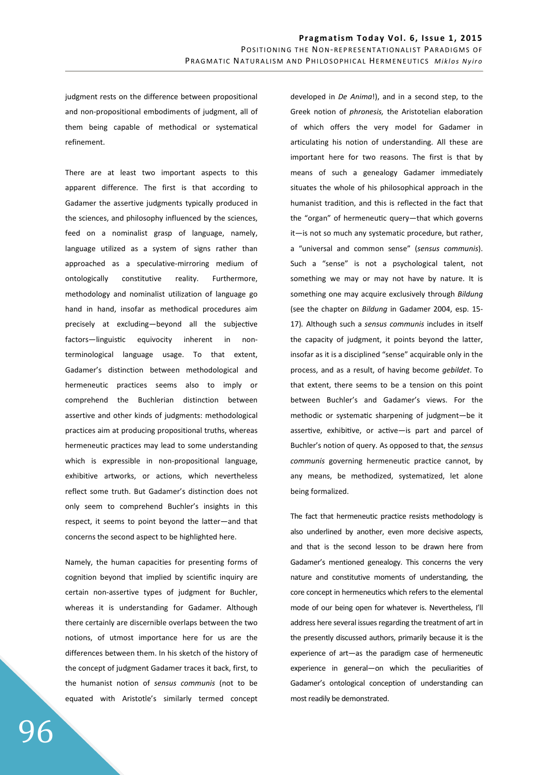judgment rests on the difference between propositional and non-propositional embodiments of judgment, all of them being capable of methodical or systematical refinement.

There are at least two important aspects to this apparent difference. The first is that according to Gadamer the assertive judgments typically produced in the sciences, and philosophy influenced by the sciences, feed on a nominalist grasp of language, namely, language utilized as a system of signs rather than approached as a speculative-mirroring medium of ontologically constitutive reality. Furthermore, methodology and nominalist utilization of language go hand in hand, insofar as methodical procedures aim precisely at excluding-beyond all the subjective factors-linguistic equivocity inherent in nonterminological language usage. To that extent, Gadamer's distinction between methodological and hermeneutic practices seems also to imply or comprehend the Buchlerian distinction between assertive and other kinds of judgments: methodological practices aim at producing propositional truths, whereas hermeneutic practices may lead to some understanding which is expressible in non-propositional language, exhibitive artworks, or actions, which nevertheless reflect some truth. But Gadamer's distinction does not only seem to comprehend Buchler's insights in this respect, it seems to point beyond the latter-and that concerns the second aspect to be highlighted here.

Namely, the human capacities for presenting forms of cognition beyond that implied by scientific inquiry are certain non-assertive types of judgment for Buchler, whereas it is understanding for Gadamer. Although there certainly are discernible overlaps between the two notions, of utmost importance here for us are the differences between them. In his sketch of the history of the concept of judgment Gadamer traces it back, first, to the humanist notion of *sensus communis* (not to be equated with Aristotle's similarly termed concept developed in *De Anima*!), and in a second step, to the Greek notion of *phronesis,* the Aristotelian elaboration of which offers the very model for Gadamer in articulating his notion of understanding. All these are important here for two reasons. The first is that by means of such a genealogy Gadamer immediately situates the whole of his philosophical approach in the humanist tradition, and this is reflected in the fact that the "organ" of hermeneutic query-that which governs it- is not so much any systematic procedure, but rather, a "universal and common sense" (*sensus communis*). Such a "sense" is not a psychological talent, not something we may or may not have by nature. It is something one may acquire exclusively through *Bildung*  (see the chapter on *Bildung* in Gadamer 2004, esp. 15- 17)*.* Although such a *sensus communis* includes in itself the capacity of judgment, it points beyond the latter, insofar as it is a disciplined "sense" acquirable only in the process, and as a result, of having become *gebildet*. To that extent, there seems to be a tension on this point between Buchler's and Gadamer's views. For the methodic or systematic sharpening of judgment-be it assertive, exhibitive, or active-is part and parcel of Buchler's notion of query. As opposed to that, the *sensus communis* governing hermeneutic practice cannot, by any means, be methodized, systematized, let alone being formalized.

The fact that hermeneutic practice resists methodology is also underlined by another, even more decisive aspects, and that is the second lesson to be drawn here from Gadamer's mentioned genealogy. This concerns the very nature and constitutive moments of understanding, the core concept in hermeneutics which refers to the elemental mode of our being open for whatever is. Nevertheless, I'll address here several issues regarding the treatment of art in the presently discussed authors, primarily because it is the experience of art-as the paradigm case of hermeneutic experience in general-on which the peculiarities of Gadamer's ontological conception of understanding can most readily be demonstrated.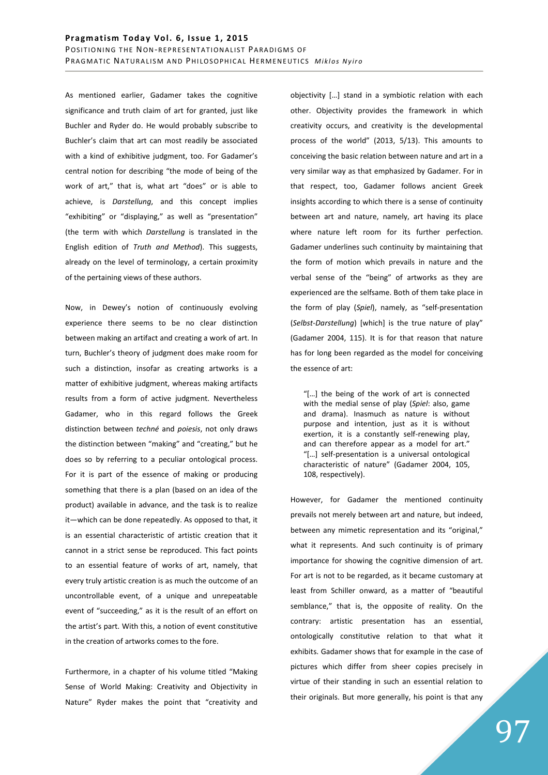As mentioned earlier, Gadamer takes the cognitive significance and truth claim of art for granted, just like Buchler and Ryder do. He would probably subscribe to Buchler's claim that art can most readily be associated with a kind of exhibitive judgment, too. For Gadamer's central notion for describing "the mode of being of the work of art," that is, what art "does" or is able to achieve, is *Darstellung*, and this concept implies "exhibiting" or "displaying," as well as "presentation" (the term with which *Darstellung* is translated in the English edition of *Truth and Method*). This suggests, already on the level of terminology, a certain proximity of the pertaining views of these authors.

Now, in Dewey's notion of continuously evolving experience there seems to be no clear distinction between making an artifact and creating a work of art. In turn, Buchler's theory of judgment does make room for such a distinction, insofar as creating artworks is a matter of exhibitive judgment, whereas making artifacts results from a form of active judgment. Nevertheless Gadamer, who in this regard follows the Greek distinction between *techné* and *poiesis*, not only draws the distinction between "making" and "creating," but he does so by referring to a peculiar ontological process. For it is part of the essence of making or producing something that there is a plan (based on an idea of the product) available in advance, and the task is to realize it―which can be done repeatedly. As opposed to that, it is an essential characteristic of artistic creation that it cannot in a strict sense be reproduced. This fact points to an essential feature of works of art, namely, that every truly artistic creation is as much the outcome of an uncontrollable event, of a unique and unrepeatable event of "succeeding," as it is the result of an effort on the artist's part. With this, a notion of event constitutive in the creation of artworks comes to the fore.

Furthermore, in a chapter of his volume titled "Making Sense of World Making: Creativity and Objectivity in Nature" Ryder makes the point that "creativity and objectivity […] stand in a symbiotic relation with each other. Objectivity provides the framework in which creativity occurs, and creativity is the developmental process of the world" (2013, 5/13). This amounts to conceiving the basic relation between nature and art in a very similar way as that emphasized by Gadamer. For in that respect, too, Gadamer follows ancient Greek insights according to which there is a sense of continuity between art and nature, namely, art having its place where nature left room for its further perfection. Gadamer underlines such continuity by maintaining that the form of motion which prevails in nature and the verbal sense of the "being" of artworks as they are experienced are the selfsame. Both of them take place in the form of play (*Spiel*), namely, as "self-presentation (*Selbst-Darstellung*) [which] is the true nature of play" (Gadamer 2004, 115). It is for that reason that nature has for long been regarded as the model for conceiving the essence of art:

"[…] the being of the work of art is connected with the medial sense of play (*Spiel*: also, game and drama). Inasmuch as nature is without purpose and intention, just as it is without exertion, it is a constantly self-renewing play, and can therefore appear as a model for art." "[…] self-presentation is a universal ontological characteristic of nature" (Gadamer 2004, 105, 108, respectively).

However, for Gadamer the mentioned continuity prevails not merely between art and nature, but indeed, between any mimetic representation and its "original," what it represents. And such continuity is of primary importance for showing the cognitive dimension of art. For art is not to be regarded, as it became customary at least from Schiller onward, as a matter of "beautiful semblance," that is, the opposite of reality. On the contrary: artistic presentation has an essential, ontologically constitutive relation to that what it exhibits. Gadamer shows that for example in the case of pictures which differ from sheer copies precisely in virtue of their standing in such an essential relation to their originals. But more generally, his point is that any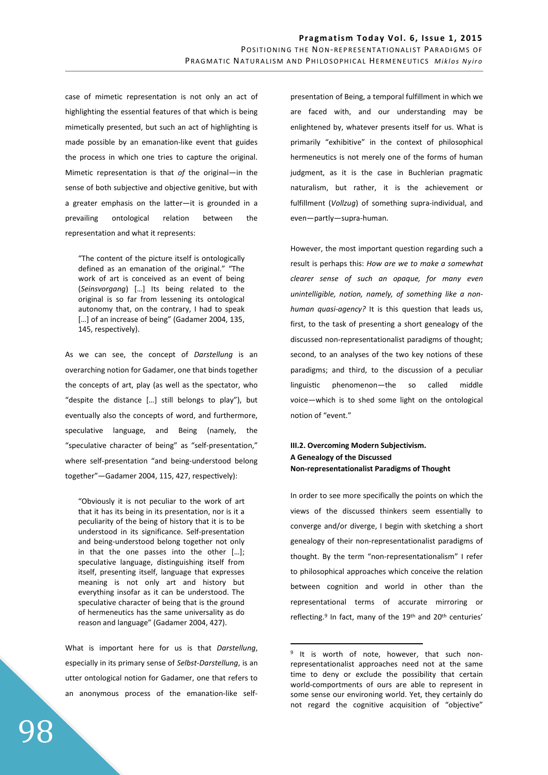case of mimetic representation is not only an act of highlighting the essential features of that which is being mimetically presented, but such an act of highlighting is made possible by an emanation-like event that guides the process in which one tries to capture the original. Mimetic representation is that *of* the original―in the sense of both subjective and objective genitive, but with a greater emphasis on the latter-it is grounded in a prevailing ontological relation between the representation and what it represents:

"The content of the picture itself is ontologically defined as an emanation of the original." "The work of art is conceived as an event of being (*Seinsvorgang*) […] Its being related to the original is so far from lessening its ontological autonomy that, on the contrary, I had to speak [...] of an increase of being" (Gadamer 2004, 135, 145, respectively).

As we can see, the concept of *Darstellung* is an overarching notion for Gadamer, one that binds together the concepts of art, play (as well as the spectator, who "despite the distance […] still belongs to play"), but eventually also the concepts of word, and furthermore, speculative language, and Being (namely, the "speculative character of being" as "self-presentation," where self-presentation "and being-understood belong together"-Gadamer 2004, 115, 427, respectively):

"Obviously it is not peculiar to the work of art that it has its being in its presentation, nor is it a peculiarity of the being of history that it is to be understood in its significance. Self-presentation and being-understood belong together not only in that the one passes into the other […]; speculative language, distinguishing itself from itself, presenting itself, language that expresses meaning is not only art and history but everything insofar as it can be understood. The speculative character of being that is the ground of hermeneutics has the same universality as do reason and language" (Gadamer 2004, 427).

What is important here for us is that *Darstellung*, especially in its primary sense of *Selbst-Darstellung*, is an utter ontological notion for Gadamer, one that refers to an anonymous process of the emanation-like selfpresentation of Being, a temporal fulfillment in which we are faced with, and our understanding may be enlightened by, whatever presents itself for us. What is primarily "exhibitive" in the context of philosophical hermeneutics is not merely one of the forms of human judgment, as it is the case in Buchlerian pragmatic naturalism, but rather, it is the achievement or fulfillment (*Vollzug*) of something supra-individual, and even―partly―supra-human.

However, the most important question regarding such a result is perhaps this: *How are we to make a somewhat clearer sense of such an opaque, for many even unintelligible, notion, namely, of something like a nonhuman quasi-agency?* It is this question that leads us, first, to the task of presenting a short genealogy of the discussed non-representationalist paradigms of thought; second, to an analyses of the two key notions of these paradigms; and third, to the discussion of a peculiar linguisfc phenomenon―the so called middle voice―which is to shed some light on the ontological notion of "event."

# **III.2. Overcoming Modern Subjectivism. A Genealogy of the Discussed Non-representationalist Paradigms of Thought**

In order to see more specifically the points on which the views of the discussed thinkers seem essentially to converge and/or diverge, I begin with sketching a short genealogy of their non-representationalist paradigms of thought. By the term "non-representationalism" I refer to philosophical approaches which conceive the relation between cognition and world in other than the representational terms of accurate mirroring or reflecting.<sup>9</sup> In fact, many of the 19<sup>th</sup> and 20<sup>th</sup> centuries'

 $\overline{a}$ 

<sup>&</sup>lt;sup>9</sup> It is worth of note, however, that such nonrepresentationalist approaches need not at the same time to deny or exclude the possibility that certain world-comportments of ours are able to represent in some sense our environing world. Yet, they certainly do not regard the cognitive acquisition of "objective"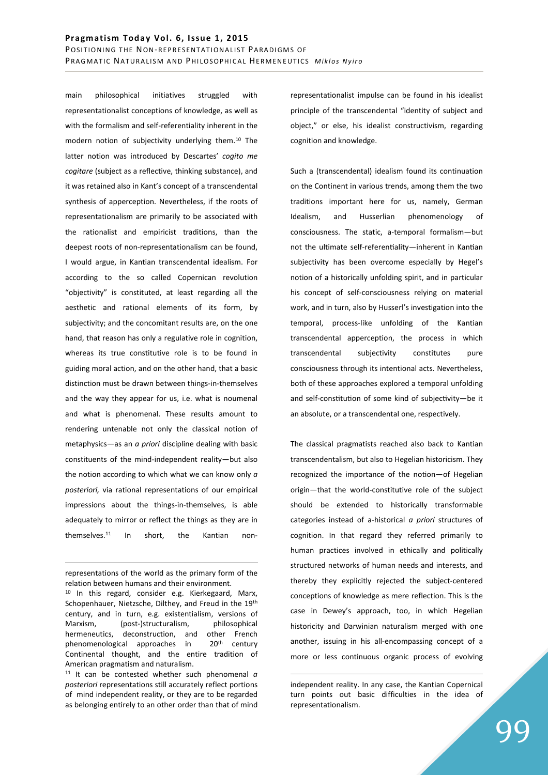main philosophical initiatives struggled with representationalist conceptions of knowledge, as well as with the formalism and self-referentiality inherent in the modern notion of subjectivity underlying them.<sup>10</sup> The latter notion was introduced by Descartes' *cogito me cogitare* (subject as a reflective, thinking substance), and it was retained also in Kant's concept of a transcendental synthesis of apperception. Nevertheless, if the roots of representationalism are primarily to be associated with the rationalist and empiricist traditions, than the deepest roots of non-representationalism can be found, I would argue, in Kantian transcendental idealism. For according to the so called Copernican revolution "objectivity" is constituted, at least regarding all the aesthetic and rational elements of its form, by subjectivity; and the concomitant results are, on the one hand, that reason has only a regulative role in cognition, whereas its true constitutive role is to be found in guiding moral action, and on the other hand, that a basic distinction must be drawn between things-in-themselves and the way they appear for us, i.e. what is noumenal and what is phenomenal. These results amount to rendering untenable not only the classical notion of metaphysics―as an *a priori* discipline dealing with basic constituents of the mind-independent reality―but also the notion according to which what we can know only *a posteriori,* via rational representations of our empirical impressions about the things-in-themselves, is able adequately to mirror or reflect the things as they are in themselves.<sup>11</sup> In short, the Kantian non-

<u>.</u>

representationalist impulse can be found in his idealist principle of the transcendental "identity of subject and object," or else, his idealist constructivism, regarding cognition and knowledge.

Such a (transcendental) idealism found its continuation on the Continent in various trends, among them the two traditions important here for us, namely, German Idealism, and Husserlian phenomenology of consciousness. The static, a-temporal formalism―but not the ultimate self-referentiality-inherent in Kantian subjectivity has been overcome especially by Hegel's notion of a historically unfolding spirit, and in particular his concept of self-consciousness relying on material work, and in turn, also by Husserl's investigation into the temporal, process-like unfolding of the Kantian transcendental apperception, the process in which transcendental subjectivity constitutes pure consciousness through its intentional acts. Nevertheless, both of these approaches explored a temporal unfolding and self-constitution of some kind of subjectivity-be it an absolute, or a transcendental one, respectively.

The classical pragmatists reached also back to Kantian transcendentalism, but also to Hegelian historicism. They recognized the importance of the notion-of Hegelian origin―that the world-constitutive role of the subject should be extended to historically transformable categories instead of a-historical *a priori* structures of cognition. In that regard they referred primarily to human practices involved in ethically and politically structured networks of human needs and interests, and thereby they explicitly rejected the subject-centered conceptions of knowledge as mere reflection. This is the case in Dewey's approach, too, in which Hegelian historicity and Darwinian naturalism merged with one another, issuing in his all-encompassing concept of a more or less continuous organic process of evolving

 $\overline{a}$ 

representations of the world as the primary form of the relation between humans and their environment.

<sup>&</sup>lt;sup>10</sup> In this regard, consider e.g. Kierkegaard, Marx, Schopenhauer, Nietzsche, Dilthey, and Freud in the 19th century, and in turn, e.g. existentialism, versions of Marxism, (post-)structuralism, philosophical hermeneutics, deconstruction, and other French phenomenological approaches in 20th century Continental thought, and the entire tradition of American pragmatism and naturalism.

<sup>11</sup> It can be contested whether such phenomenal *a posteriori* representations still accurately reflect portions of mind independent reality, or they are to be regarded as belonging entirely to an other order than that of mind

independent reality. In any case, the Kantian Copernical turn points out basic difficulties in the idea of representationalism.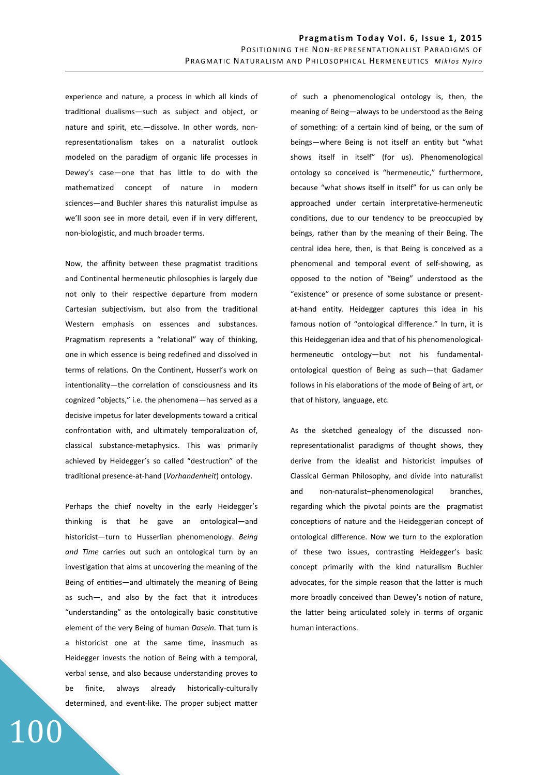experience and nature, a process in which all kinds of tradifonal dualisms―such as subject and object, or nature and spirit, etc.―dissolve. In other words, nonrepresentationalism takes on a naturalist outlook modeled on the paradigm of organic life processes in Dewey's case-one that has little to do with the mathematized concept of nature in modern sciences―and Buchler shares this naturalist impulse as we'll soon see in more detail, even if in very different, non-biologistic, and much broader terms.

Now, the affinity between these pragmatist traditions and Continental hermeneutic philosophies is largely due not only to their respective departure from modern Cartesian subjectivism, but also from the traditional Western emphasis on essences and substances. Pragmatism represents a "relational" way of thinking, one in which essence is being redefined and dissolved in terms of relations. On the Continent, Husserl's work on intentionality-the correlation of consciousness and its cognized "objects," i.e. the phenomena―has served as a decisive impetus for later developments toward a critical confrontation with, and ultimately temporalization of, classical substance-metaphysics. This was primarily achieved by Heidegger's so called "destruction" of the traditional presence-at-hand (*Vorhandenheit*) ontology.

Perhaps the chief novelty in the early Heidegger's thinking is that he gave an ontological―and historicist―turn to Husserlian phenomenology. *Being and Time* carries out such an ontological turn by an investigation that aims at uncovering the meaning of the Being of entities—and ultimately the meaning of Being as such―, and also by the fact that it introduces "understanding" as the ontologically basic constitutive element of the very Being of human *Dasein.* That turn is a historicist one at the same time, inasmuch as Heidegger invests the notion of Being with a temporal, verbal sense, and also because understanding proves to be finite, always already historically-culturally determined, and event-like. The proper subject matter

100

of such a phenomenological ontology is, then, the meaning of Being―always to be understood as the Being of something: of a certain kind of being, or the sum of beings―where Being is not itself an entity but "what shows itself in itself" (for us). Phenomenological ontology so conceived is "hermeneutic," furthermore, because "what shows itself in itself" for us can only be approached under certain interpretative-hermeneutic conditions, due to our tendency to be preoccupied by beings, rather than by the meaning of their Being. The central idea here, then, is that Being is conceived as a phenomenal and temporal event of self-showing, as opposed to the notion of "Being" understood as the "existence" or presence of some substance or presentat-hand entity. Heidegger captures this idea in his famous notion of "ontological difference." In turn, it is this Heideggerian idea and that of his phenomenologicalhermeneutic ontology-but not his fundamentalontological question of Being as such-that Gadamer follows in his elaborations of the mode of Being of art, or that of history, language, etc.

As the sketched genealogy of the discussed nonrepresentationalist paradigms of thought shows, they derive from the idealist and historicist impulses of Classical German Philosophy, and divide into naturalist and non-naturalist–phenomenological branches, regarding which the pivotal points are the pragmatist conceptions of nature and the Heideggerian concept of ontological difference. Now we turn to the exploration of these two issues, contrasting Heidegger's basic concept primarily with the kind naturalism Buchler advocates, for the simple reason that the latter is much more broadly conceived than Dewey's notion of nature, the latter being articulated solely in terms of organic human interactions.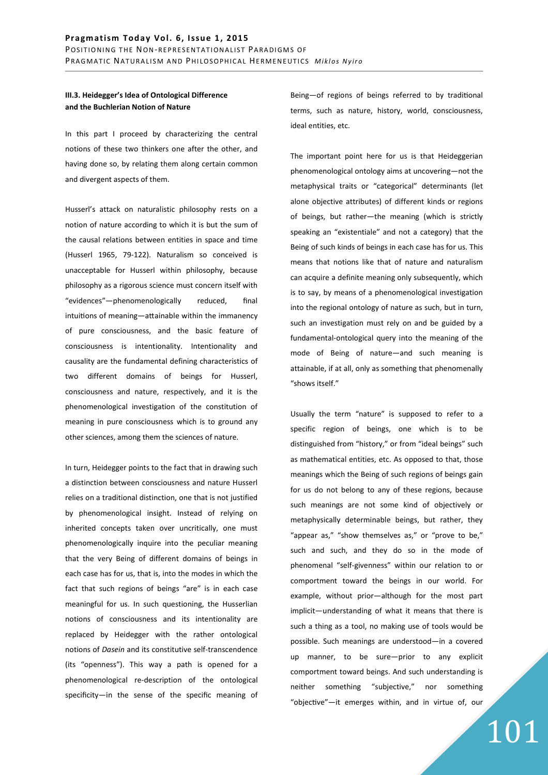# **III.3. Heidegger's Idea of Ontological Difference and the Buchlerian Notion of Nature**

In this part I proceed by characterizing the central notions of these two thinkers one after the other, and having done so, by relating them along certain common and divergent aspects of them.

Husserl's attack on naturalistic philosophy rests on a notion of nature according to which it is but the sum of the causal relations between entities in space and time (Husserl 1965, 79-122). Naturalism so conceived is unacceptable for Husserl within philosophy, because philosophy as a rigorous science must concern itself with "evidences"―phenomenologically reduced, final intuitions of meaning-attainable within the immanency of pure consciousness, and the basic feature of consciousness is intentionality. Intentionality and causality are the fundamental defining characteristics of two different domains of beings for Husserl, consciousness and nature, respectively, and it is the phenomenological investigation of the constitution of meaning in pure consciousness which is to ground any other sciences, among them the sciences of nature.

In turn, Heidegger points to the fact that in drawing such a distinction between consciousness and nature Husserl relies on a traditional distinction, one that is not justified by phenomenological insight. Instead of relying on inherited concepts taken over uncritically, one must phenomenologically inquire into the peculiar meaning that the very Being of different domains of beings in each case has for us, that is, into the modes in which the fact that such regions of beings "are" is in each case meaningful for us. In such questioning, the Husserlian notions of consciousness and its intentionality are replaced by Heidegger with the rather ontological notions of *Dasein* and its constitutive self-transcendence (its "openness"). This way a path is opened for a phenomenological re-description of the ontological specificity―in the sense of the specific meaning of

Being-of regions of beings referred to by traditional terms, such as nature, history, world, consciousness, ideal entities, etc.

The important point here for us is that Heideggerian phenomenological ontology aims at uncovering―not the metaphysical traits or "categorical" determinants (let alone objective attributes) of different kinds or regions of beings, but rather―the meaning (which is strictly speaking an "existentiale" and not a category) that the Being of such kinds of beings in each case has for us. This means that notions like that of nature and naturalism can acquire a definite meaning only subsequently, which is to say, by means of a phenomenological investigation into the regional ontology of nature as such, but in turn, such an investigation must rely on and be guided by a fundamental-ontological query into the meaning of the mode of Being of nature―and such meaning is attainable, if at all, only as something that phenomenally "shows itself."

Usually the term "nature" is supposed to refer to a specific region of beings, one which is to be distinguished from "history," or from "ideal beings" such as mathematical entities, etc. As opposed to that, those meanings which the Being of such regions of beings gain for us do not belong to any of these regions, because such meanings are not some kind of objectively or metaphysically determinable beings, but rather, they "appear as," "show themselves as," or "prove to be," such and such, and they do so in the mode of phenomenal "self-givenness" within our relation to or comportment toward the beings in our world. For example, without prior―although for the most part implicit―understanding of what it means that there is such a thing as a tool, no making use of tools would be possible. Such meanings are understood―in a covered up manner, to be sure―prior to any explicit comportment toward beings. And such understanding is neither something "subjective," nor something "objective"-it emerges within, and in virtue of, our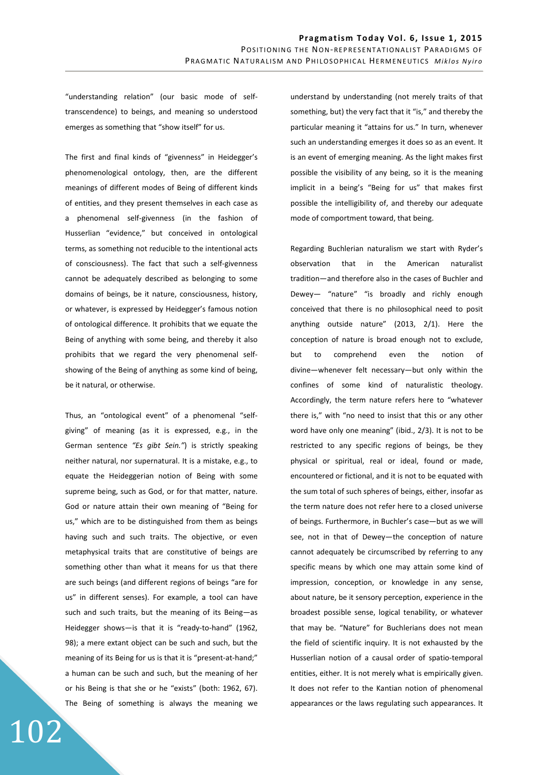"understanding relation" (our basic mode of selftranscendence) to beings, and meaning so understood emerges as something that "show itself" for us.

The first and final kinds of "givenness" in Heidegger's phenomenological ontology, then, are the different meanings of different modes of Being of different kinds of entities, and they present themselves in each case as a phenomenal self-givenness (in the fashion of Husserlian "evidence," but conceived in ontological terms, as something not reducible to the intentional acts of consciousness). The fact that such a self-givenness cannot be adequately described as belonging to some domains of beings, be it nature, consciousness, history, or whatever, is expressed by Heidegger's famous notion of ontological difference. It prohibits that we equate the Being of anything with some being, and thereby it also prohibits that we regard the very phenomenal selfshowing of the Being of anything as some kind of being, be it natural, or otherwise.

Thus, an "ontological event" of a phenomenal "selfgiving" of meaning (as it is expressed, e.g., in the German sentence *"Es gibt Sein."*) is strictly speaking neither natural, nor supernatural. It is a mistake, e.g., to equate the Heideggerian notion of Being with some supreme being, such as God, or for that matter, nature. God or nature attain their own meaning of "Being for us," which are to be distinguished from them as beings having such and such traits. The objective, or even metaphysical traits that are constitutive of beings are something other than what it means for us that there are such beings (and different regions of beings "are for us" in different senses). For example, a tool can have such and such traits, but the meaning of its Being―as Heidegger shows―is that it is "ready-to-hand" (1962, 98); a mere extant object can be such and such, but the meaning of its Being for us is that it is "present-at-hand;" a human can be such and such, but the meaning of her or his Being is that she or he "exists" (both: 1962, 67). The Being of something is always the meaning we

102

understand by understanding (not merely traits of that something, but) the very fact that it "is," and thereby the particular meaning it "attains for us." In turn, whenever such an understanding emerges it does so as an event. It is an event of emerging meaning. As the light makes first possible the visibility of any being, so it is the meaning implicit in a being's "Being for us" that makes first possible the intelligibility of, and thereby our adequate mode of comportment toward, that being.

Regarding Buchlerian naturalism we start with Ryder's observation that in the American naturalist tradifon―and therefore also in the cases of Buchler and Dewey― "nature" "is broadly and richly enough conceived that there is no philosophical need to posit anything outside nature" (2013, 2/1). Here the conception of nature is broad enough not to exclude, but to comprehend even the notion of divine―whenever felt necessary―but only within the confines of some kind of naturalistic theology. Accordingly, the term nature refers here to "whatever there is," with "no need to insist that this or any other word have only one meaning" (ibid., 2/3). It is not to be restricted to any specific regions of beings, be they physical or spiritual, real or ideal, found or made, encountered or fictional, and it is not to be equated with the sum total of such spheres of beings, either, insofar as the term nature does not refer here to a closed universe of beings. Furthermore, in Buchler's case―but as we will see, not in that of Dewey-the conception of nature cannot adequately be circumscribed by referring to any specific means by which one may attain some kind of impression, conception, or knowledge in any sense, about nature, be it sensory perception, experience in the broadest possible sense, logical tenability, or whatever that may be. "Nature" for Buchlerians does not mean the field of scientific inquiry. It is not exhausted by the Husserlian notion of a causal order of spatio-temporal entities, either. It is not merely what is empirically given. It does not refer to the Kantian notion of phenomenal appearances or the laws regulating such appearances. It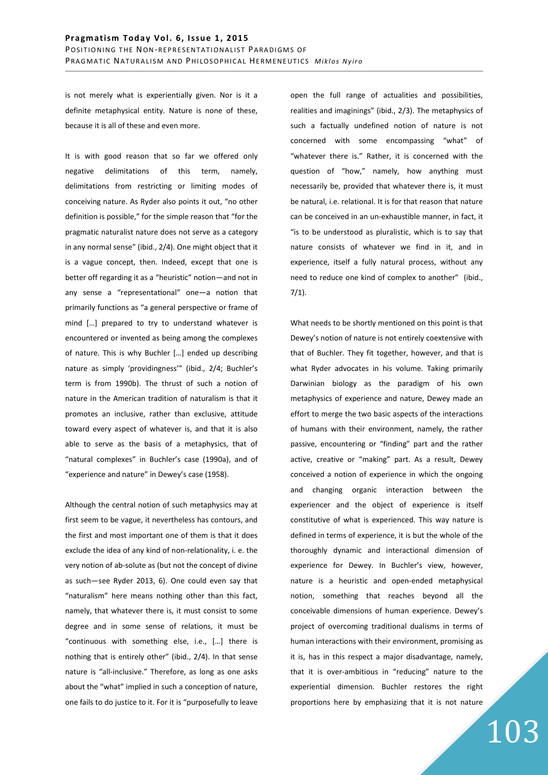is not merely what is experientially given. Nor is it a definite metaphysical entity. Nature is none of these, because it is all of these and even more.

It is with good reason that so far we offered only negative delimitations of this term, namely, delimitations from restricting or limiting modes of conceiving nature. As Ryder also points it out, "no other definition is possible," for the simple reason that "for the pragmatic naturalist nature does not serve as a category in any normal sense" (ibid., 2/4). One might object that it is a vague concept, then. Indeed, except that one is better off regarding it as a "heuristic" notion―and not in any sense a "representational" one-a notion that primarily functions as "a general perspective or frame of mind […] prepared to try to understand whatever is encountered or invented as being among the complexes of nature. This is why Buchler […] ended up describing nature as simply 'providingness'" (ibid., 2/4; Buchler's term is from 1990b). The thrust of such a notion of nature in the American tradition of naturalism is that it promotes an inclusive, rather than exclusive, attitude toward every aspect of whatever is, and that it is also able to serve as the basis of a metaphysics, that of "natural complexes" in Buchler's case (1990a), and of "experience and nature" in Dewey's case (1958).

Although the central notion of such metaphysics may at first seem to be vague, it nevertheless has contours, and the first and most important one of them is that it does exclude the idea of any kind of non-relationality, i. e. the very notion of ab-solute as (but not the concept of divine as such―see Ryder 2013, 6). One could even say that "naturalism" here means nothing other than this fact, namely, that whatever there is, it must consist to some degree and in some sense of relations, it must be "continuous with something else, i.e., […] there is nothing that is entirely other" (ibid., 2/4). In that sense nature is "all-inclusive." Therefore, as long as one asks about the "what" implied in such a conception of nature, one fails to do justice to it. For it is "purposefully to leave open the full range of actualities and possibilities, realities and imaginings" (ibid., 2/3). The metaphysics of such a factually undefined notion of nature is not concerned with some encompassing "what" of "whatever there is." Rather, it is concerned with the question of "how," namely, how anything must necessarily be, provided that whatever there is, it must be natural, i.e. relational. It is for that reason that nature can be conceived in an un-exhaustible manner, in fact, it "is to be understood as pluralistic, which is to say that nature consists of whatever we find in it, and in experience, itself a fully natural process, without any need to reduce one kind of complex to another" (ibid., 7/1).

What needs to be shortly mentioned on this point is that Dewey's notion of nature is not entirely coextensive with that of Buchler. They fit together, however, and that is what Ryder advocates in his volume. Taking primarily Darwinian biology as the paradigm of his own metaphysics of experience and nature, Dewey made an effort to merge the two basic aspects of the interactions of humans with their environment, namely, the rather passive, encountering or "finding" part and the rather active, creative or "making" part. As a result, Dewey conceived a notion of experience in which the ongoing and changing organic interaction between the experiencer and the object of experience is itself constitutive of what is experienced. This way nature is defined in terms of experience, it is but the whole of the thoroughly dynamic and interactional dimension of experience for Dewey. In Buchler's view, however, nature is a heuristic and open-ended metaphysical notion, something that reaches beyond all the conceivable dimensions of human experience. Dewey's project of overcoming traditional dualisms in terms of human interactions with their environment, promising as it is, has in this respect a major disadvantage, namely, that it is over-ambitious in "reducing" nature to the experiential dimension. Buchler restores the right proportions here by emphasizing that it is not nature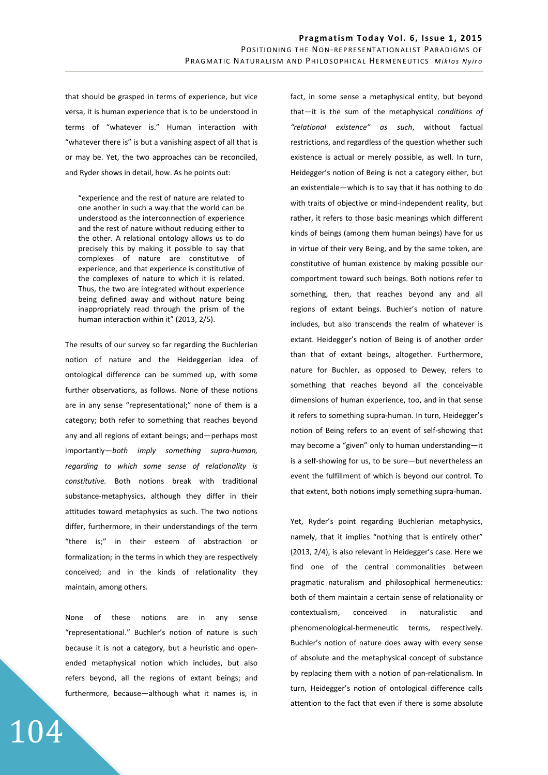that should be grasped in terms of experience, but vice versa, it is human experience that is to be understood in terms of "whatever is." Human interaction with "whatever there is" is but a vanishing aspect of all that is or may be. Yet, the two approaches can be reconciled, and Ryder shows in detail, how. As he points out:

"experience and the rest of nature are related to one another in such a way that the world can be understood as the interconnection of experience and the rest of nature without reducing either to the other. A relational ontology allows us to do precisely this by making it possible to say that complexes of nature are constitutive of experience, and that experience is constitutive of the complexes of nature to which it is related. Thus, the two are integrated without experience being defined away and without nature being inappropriately read through the prism of the human interaction within it" (2013, 2/5).

The results of our survey so far regarding the Buchlerian notion of nature and the Heideggerian idea of ontological difference can be summed up, with some further observations, as follows. None of these notions are in any sense "representational;" none of them is a category; both refer to something that reaches beyond any and all regions of extant beings; and―perhaps most importantly―*both imply something supra-human, regarding to which some sense of relationality is constitutive.* Both notions break with traditional substance-metaphysics, although they differ in their attitudes toward metaphysics as such. The two notions differ, furthermore, in their understandings of the term "there is;" in their esteem of abstraction or formalization; in the terms in which they are respectively conceived; and in the kinds of relationality they maintain, among others.

None of these notions are in any sense "representational." Buchler's notion of nature is such because it is not a category, but a heuristic and openended metaphysical notion which includes, but also refers beyond, all the regions of extant beings; and furthermore, because―although what it names is, in

104

fact, in some sense a metaphysical entity, but beyond that―it is the sum of the metaphysical *conditions of "relational existence" as such*, without factual restrictions, and regardless of the question whether such existence is actual or merely possible, as well. In turn, Heidegger's notion of Being is not a category either, but an existentiale—which is to say that it has nothing to do with traits of objective or mind-independent reality, but rather, it refers to those basic meanings which different kinds of beings (among them human beings) have for us in virtue of their very Being, and by the same token, are constitutive of human existence by making possible our comportment toward such beings. Both notions refer to something, then, that reaches beyond any and all regions of extant beings. Buchler's notion of nature includes, but also transcends the realm of whatever is extant. Heidegger's notion of Being is of another order than that of extant beings, altogether. Furthermore, nature for Buchler, as opposed to Dewey, refers to something that reaches beyond all the conceivable dimensions of human experience, too, and in that sense it refers to something supra-human. In turn, Heidegger's notion of Being refers to an event of self-showing that may become a "given" only to human understanding―it is a self-showing for us, to be sure―but nevertheless an event the fulfillment of which is beyond our control. To that extent, both notions imply something supra-human.

Yet, Ryder's point regarding Buchlerian metaphysics, namely, that it implies "nothing that is entirely other" (2013, 2/4), is also relevant in Heidegger's case. Here we find one of the central commonalities between pragmatic naturalism and philosophical hermeneutics: both of them maintain a certain sense of relationality or contextualism, conceived in naturalistic and phenomenological-hermeneutic terms, respectively. Buchler's notion of nature does away with every sense of absolute and the metaphysical concept of substance by replacing them with a notion of pan-relationalism. In turn, Heidegger's notion of ontological difference calls attention to the fact that even if there is some absolute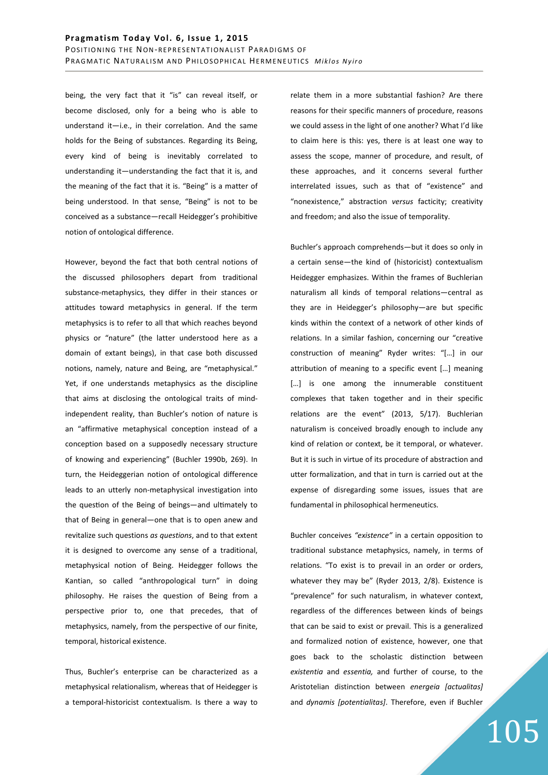being, the very fact that it "is" can reveal itself, or become disclosed, only for a being who is able to understand it-i.e., in their correlation. And the same holds for the Being of substances. Regarding its Being, every kind of being is inevitably correlated to understanding it―understanding the fact that it is, and the meaning of the fact that it is. "Being" is a matter of being understood. In that sense, "Being" is not to be conceived as a substance-recall Heidegger's prohibitive notion of ontological difference.

However, beyond the fact that both central notions of the discussed philosophers depart from traditional substance-metaphysics, they differ in their stances or attitudes toward metaphysics in general. If the term metaphysics is to refer to all that which reaches beyond physics or "nature" (the latter understood here as a domain of extant beings), in that case both discussed notions, namely, nature and Being, are "metaphysical." Yet, if one understands metaphysics as the discipline that aims at disclosing the ontological traits of mindindependent reality, than Buchler's notion of nature is an "affirmative metaphysical conception instead of a conception based on a supposedly necessary structure of knowing and experiencing" (Buchler 1990b, 269). In turn, the Heideggerian notion of ontological difference leads to an utterly non-metaphysical investigation into the question of the Being of beings-and ultimately to that of Being in general―one that is to open anew and revitalize such questions *as questions*, and to that extent it is designed to overcome any sense of a traditional, metaphysical notion of Being. Heidegger follows the Kantian, so called "anthropological turn" in doing philosophy. He raises the question of Being from a perspective prior to, one that precedes, that of metaphysics, namely, from the perspective of our finite, temporal, historical existence.

Thus, Buchler's enterprise can be characterized as a metaphysical relationalism, whereas that of Heidegger is a temporal-historicist contextualism. Is there a way to relate them in a more substantial fashion? Are there reasons for their specific manners of procedure, reasons we could assess in the light of one another? What I'd like to claim here is this: yes, there is at least one way to assess the scope, manner of procedure, and result, of these approaches, and it concerns several further interrelated issues, such as that of "existence" and "nonexistence," abstraction *versus* facticity; creativity and freedom; and also the issue of temporality.

Buchler's approach comprehends―but it does so only in a certain sense―the kind of (historicist) contextualism Heidegger emphasizes. Within the frames of Buchlerian naturalism all kinds of temporal relations-central as they are in Heidegger's philosophy―are but specific kinds within the context of a network of other kinds of relations. In a similar fashion, concerning our "creative construction of meaning" Ryder writes: "[…] in our attribution of meaning to a specific event […] meaning […] is one among the innumerable constituent complexes that taken together and in their specific relations are the event" (2013, 5/17). Buchlerian naturalism is conceived broadly enough to include any kind of relation or context, be it temporal, or whatever. But it is such in virtue of its procedure of abstraction and utter formalization, and that in turn is carried out at the expense of disregarding some issues, issues that are fundamental in philosophical hermeneutics.

Buchler conceives *"existence"* in a certain opposition to traditional substance metaphysics, namely, in terms of relations. "To exist is to prevail in an order or orders, whatever they may be" (Ryder 2013, 2/8). Existence is "prevalence" for such naturalism, in whatever context, regardless of the differences between kinds of beings that can be said to exist or prevail. This is a generalized and formalized notion of existence, however, one that goes back to the scholastic distinction between *existentia* and *essentia,* and further of course, to the Aristotelian distinction between *energeia [actualitas]* and *dynamis [potentialitas]*. Therefore, even if Buchler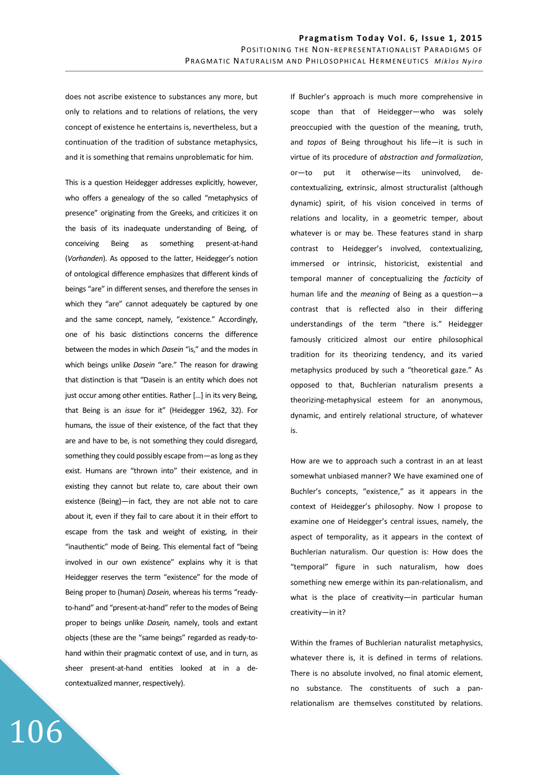does not ascribe existence to substances any more, but only to relations and to relations of relations, the very concept of existence he entertains is, nevertheless, but a continuation of the tradition of substance metaphysics, and it is something that remains unproblematic for him.

This is a question Heidegger addresses explicitly, however, who offers a genealogy of the so called "metaphysics of presence" originating from the Greeks, and criticizes it on the basis of its inadequate understanding of Being, of conceiving Being as something present-at-hand (*Vorhanden*). As opposed to the latter, Heidegger's notion of ontological difference emphasizes that different kinds of beings "are" in different senses, and therefore the senses in which they "are" cannot adequately be captured by one and the same concept, namely, "existence." Accordingly, one of his basic distinctions concerns the difference between the modes in which *Dasein* "is," and the modes in which beings unlike *Dasein* "are." The reason for drawing that distinction is that "Dasein is an entity which does not just occur among other entities. Rather [...] in its very Being, that Being is an *issue* for it" (Heidegger 1962, 32). For humans, the issue of their existence, of the fact that they are and have to be, is not something they could disregard, something they could possibly escape from―as long as they exist. Humans are "thrown into" their existence, and in existing they cannot but relate to, care about their own existence (Being)―in fact, they are not able not to care about it, even if they fail to care about it in their effort to escape from the task and weight of existing, in their "inauthentic" mode of Being. This elemental fact of "being involved in our own existence" explains why it is that Heidegger reserves the term "existence" for the mode of Being proper to (human) *Dasein*, whereas his terms "readyto-hand" and "present-at-hand" refer to the modes of Being proper to beings unlike *Dasein,* namely, tools and extant objects (these are the "same beings" regarded as ready-tohand within their pragmatic context of use, and in turn, as sheer present-at-hand entities looked at in a decontextualized manner, respectively).

106

If Buchler's approach is much more comprehensive in scope than that of Heidegger―who was solely preoccupied with the question of the meaning, truth, and *topos* of Being throughout his life―it is such in virtue of its procedure of *abstraction and formalization*, or―to put it otherwise―its uninvolved, decontextualizing, extrinsic, almost structuralist (although dynamic) spirit, of his vision conceived in terms of relations and locality, in a geometric temper, about whatever is or may be. These features stand in sharp contrast to Heidegger's involved, contextualizing, immersed or intrinsic, historicist, existential and temporal manner of conceptualizing the *facticity* of human life and the *meaning* of Being as a question-a contrast that is reflected also in their differing understandings of the term "there is." Heidegger famously criticized almost our entire philosophical tradition for its theorizing tendency, and its varied metaphysics produced by such a "theoretical gaze." As opposed to that, Buchlerian naturalism presents a theorizing-metaphysical esteem for an anonymous, dynamic, and entirely relational structure, of whatever is.

How are we to approach such a contrast in an at least somewhat unbiased manner? We have examined one of Buchler's concepts, "existence," as it appears in the context of Heidegger's philosophy. Now I propose to examine one of Heidegger's central issues, namely, the aspect of temporality, as it appears in the context of Buchlerian naturalism. Our question is: How does the "temporal" figure in such naturalism, how does something new emerge within its pan-relationalism, and what is the place of creativity-in particular human creativity-in it?

Within the frames of Buchlerian naturalist metaphysics, whatever there is, it is defined in terms of relations. There is no absolute involved, no final atomic element, no substance. The constituents of such a panrelationalism are themselves constituted by relations.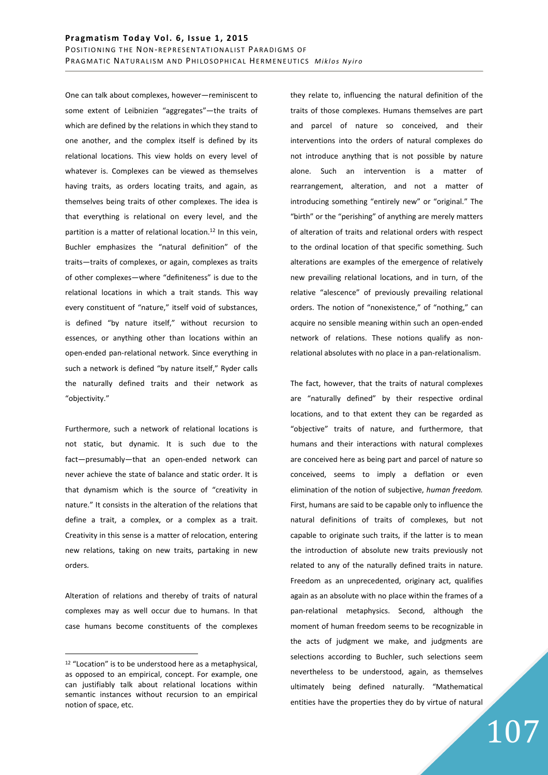One can talk about complexes, however―reminiscent to some extent of Leibnizien "aggregates"―the traits of which are defined by the relations in which they stand to one another, and the complex itself is defined by its relational locations. This view holds on every level of whatever is. Complexes can be viewed as themselves having traits, as orders locating traits, and again, as themselves being traits of other complexes. The idea is that everything is relational on every level, and the partition is a matter of relational location.<sup>12</sup> In this vein, Buchler emphasizes the "natural definition" of the traits―traits of complexes, or again, complexes as traits of other complexes―where "definiteness" is due to the relational locations in which a trait stands. This way every constituent of "nature," itself void of substances, is defined "by nature itself," without recursion to essences, or anything other than locations within an open-ended pan-relational network. Since everything in such a network is defined "by nature itself," Ryder calls the naturally defined traits and their network as "objectivity."

Furthermore, such a network of relational locations is not static, but dynamic. It is such due to the fact―presumably―that an open-ended network can never achieve the state of balance and static order. It is that dynamism which is the source of "creativity in nature." It consists in the alteration of the relations that define a trait, a complex, or a complex as a trait. Creativity in this sense is a matter of relocation, entering new relations, taking on new traits, partaking in new orders.

Alteration of relations and thereby of traits of natural complexes may as well occur due to humans. In that case humans become constituents of the complexes

 $\overline{a}$ 

they relate to, influencing the natural definition of the traits of those complexes. Humans themselves are part and parcel of nature so conceived, and their interventions into the orders of natural complexes do not introduce anything that is not possible by nature alone. Such an intervention is a matter of rearrangement, alteration, and not a matter of introducing something "entirely new" or "original." The "birth" or the "perishing" of anything are merely matters of alteration of traits and relational orders with respect to the ordinal location of that specific something. Such alterations are examples of the emergence of relatively new prevailing relational locations, and in turn, of the relative "alescence" of previously prevailing relational orders. The notion of "nonexistence," of "nothing," can acquire no sensible meaning within such an open-ended network of relations. These notions qualify as nonrelational absolutes with no place in a pan-relationalism.

The fact, however, that the traits of natural complexes are "naturally defined" by their respective ordinal locations, and to that extent they can be regarded as "objective" traits of nature, and furthermore, that humans and their interactions with natural complexes are conceived here as being part and parcel of nature so conceived, seems to imply a deflation or even elimination of the notion of subjective, *human freedom.* First, humans are said to be capable only to influence the natural definitions of traits of complexes, but not capable to originate such traits, if the latter is to mean the introduction of absolute new traits previously not related to any of the naturally defined traits in nature. Freedom as an unprecedented, originary act, qualifies again as an absolute with no place within the frames of a pan-relational metaphysics. Second, although the moment of human freedom seems to be recognizable in the acts of judgment we make, and judgments are selections according to Buchler, such selections seem nevertheless to be understood, again, as themselves ultimately being defined naturally. "Mathematical entities have the properties they do by virtue of natural

<sup>&</sup>lt;sup>12</sup> "Location" is to be understood here as a metaphysical, as opposed to an empirical, concept. For example, one can justifiably talk about relational locations within semantic instances without recursion to an empirical notion of space, etc.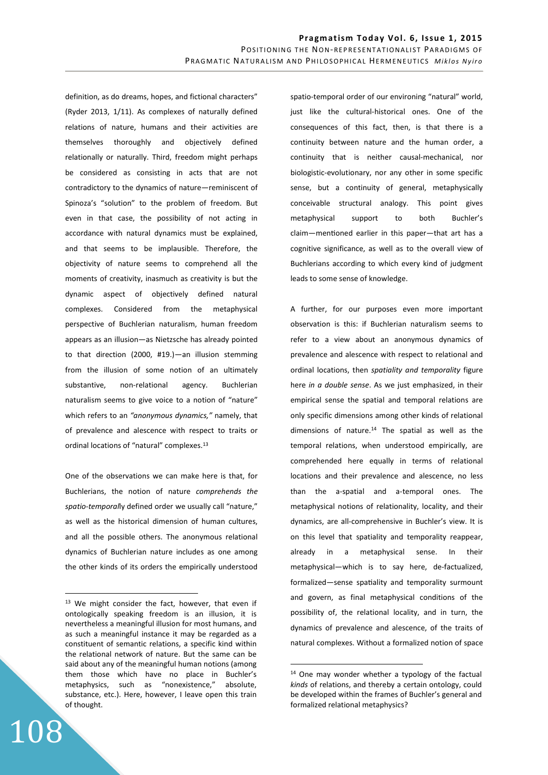definition, as do dreams, hopes, and fictional characters" (Ryder 2013, 1/11). As complexes of naturally defined relations of nature, humans and their activities are themselves thoroughly and objectively defined relationally or naturally. Third, freedom might perhaps be considered as consisting in acts that are not contradictory to the dynamics of nature―reminiscent of Spinoza's "solution" to the problem of freedom. But even in that case, the possibility of not acting in accordance with natural dynamics must be explained, and that seems to be implausible. Therefore, the objectivity of nature seems to comprehend all the moments of creativity, inasmuch as creativity is but the dynamic aspect of objectively defined natural complexes. Considered from the metaphysical perspective of Buchlerian naturalism, human freedom appears as an illusion―as Nietzsche has already pointed to that direction (2000, #19.)―an illusion stemming from the illusion of some notion of an ultimately substantive, non-relational agency. Buchlerian naturalism seems to give voice to a notion of "nature" which refers to an *"anonymous dynamics,"* namely, that of prevalence and alescence with respect to traits or ordinal locations of "natural" complexes.<sup>13</sup>

One of the observations we can make here is that, for Buchlerians, the notion of nature *comprehends the spatio-temporal*ly defined order we usually call "nature," as well as the historical dimension of human cultures, and all the possible others. The anonymous relational dynamics of Buchlerian nature includes as one among the other kinds of its orders the empirically understood

108

 $\overline{a}$ 

spatio-temporal order of our environing "natural" world, just like the cultural-historical ones. One of the consequences of this fact, then, is that there is a continuity between nature and the human order, a continuity that is neither causal-mechanical, nor biologistic-evolutionary, nor any other in some specific sense, but a continuity of general, metaphysically conceivable structural analogy. This point gives metaphysical support to both Buchler's claim-mentioned earlier in this paper-that art has a cognitive significance, as well as to the overall view of Buchlerians according to which every kind of judgment leads to some sense of knowledge.

A further, for our purposes even more important observation is this: if Buchlerian naturalism seems to refer to a view about an anonymous dynamics of prevalence and alescence with respect to relational and ordinal locations, then *spatiality and temporality* figure here *in a double sense*. As we just emphasized, in their empirical sense the spatial and temporal relations are only specific dimensions among other kinds of relational dimensions of nature.<sup>14</sup> The spatial as well as the temporal relations, when understood empirically, are comprehended here equally in terms of relational locations and their prevalence and alescence, no less than the a-spatial and a-temporal ones. The metaphysical notions of relationality, locality, and their dynamics, are all-comprehensive in Buchler's view. It is on this level that spatiality and temporality reappear, already in a metaphysical sense. In their metaphysical―which is to say here, de-factualized, formalized―sense spafality and temporality surmount and govern, as final metaphysical conditions of the possibility of, the relational locality, and in turn, the dynamics of prevalence and alescence, of the traits of natural complexes. Without a formalized notion of space

 $\overline{a}$ 

<sup>&</sup>lt;sup>13</sup> We might consider the fact, however, that even if ontologically speaking freedom is an illusion, it is nevertheless a meaningful illusion for most humans, and as such a meaningful instance it may be regarded as a constituent of semantic relations, a specific kind within the relational network of nature. But the same can be said about any of the meaningful human notions (among them those which have no place in Buchler's metaphysics, such as "nonexistence," absolute, substance, etc.). Here, however, I leave open this train of thought.

<sup>14</sup> One may wonder whether a typology of the factual *kinds* of relations, and thereby a certain ontology, could be developed within the frames of Buchler's general and formalized relational metaphysics?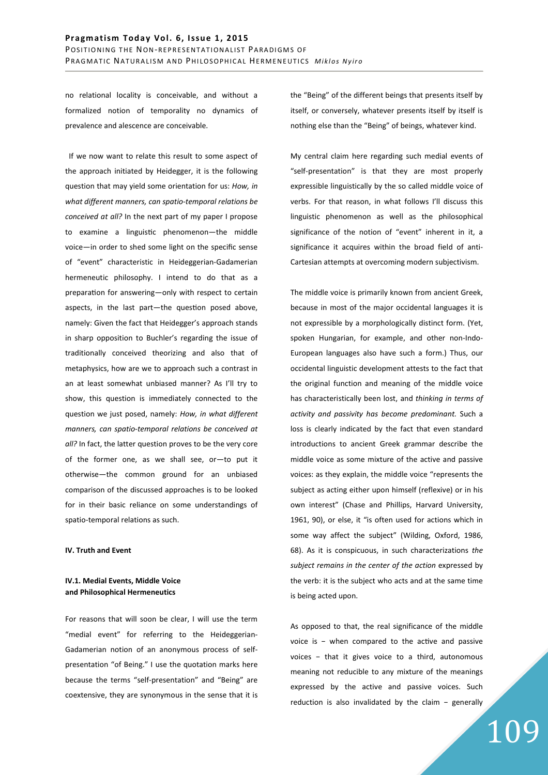no relational locality is conceivable, and without a formalized notion of temporality no dynamics of prevalence and alescence are conceivable.

 If we now want to relate this result to some aspect of the approach initiated by Heidegger, it is the following question that may yield some orientation for us: *How, in what different manners, can spatio-temporal relations be conceived at all?* In the next part of my paper I propose to examine a linguistic phenomenon-the middle voice―in order to shed some light on the specific sense of "event" characteristic in Heideggerian-Gadamerian hermeneutic philosophy. I intend to do that as a preparation for answering-only with respect to certain aspects, in the last part-the question posed above, namely: Given the fact that Heidegger's approach stands in sharp opposition to Buchler's regarding the issue of traditionally conceived theorizing and also that of metaphysics, how are we to approach such a contrast in an at least somewhat unbiased manner? As I'll try to show, this question is immediately connected to the question we just posed, namely: *How, in what different manners, can spatio-temporal relations be conceived at all?* In fact, the latter question proves to be the very core of the former one, as we shall see, or―to put it otherwise―the common ground for an unbiased comparison of the discussed approaches is to be looked for in their basic reliance on some understandings of spatio-temporal relations as such.

## **IV. Truth and Event**

# **IV.1. Medial Events, Middle Voice and Philosophical Hermeneutics**

For reasons that will soon be clear, I will use the term "medial event" for referring to the Heideggerian-Gadamerian notion of an anonymous process of selfpresentation "of Being." I use the quotation marks here because the terms "self-presentation" and "Being" are coextensive, they are synonymous in the sense that it is the "Being" of the different beings that presents itself by itself, or conversely, whatever presents itself by itself is nothing else than the "Being" of beings, whatever kind.

My central claim here regarding such medial events of "self-presentation" is that they are most properly expressible linguistically by the so called middle voice of verbs. For that reason, in what follows I'll discuss this linguistic phenomenon as well as the philosophical significance of the notion of "event" inherent in it, a significance it acquires within the broad field of anti-Cartesian attempts at overcoming modern subjectivism.

The middle voice is primarily known from ancient Greek, because in most of the major occidental languages it is not expressible by a morphologically distinct form. (Yet, spoken Hungarian, for example, and other non-Indo-European languages also have such a form.) Thus, our occidental linguistic development attests to the fact that the original function and meaning of the middle voice has characteristically been lost, and *thinking in terms of activity and passivity has become predominant.* Such a loss is clearly indicated by the fact that even standard introductions to ancient Greek grammar describe the middle voice as some mixture of the active and passive voices: as they explain, the middle voice "represents the subject as acting either upon himself (reflexive) or in his own interest" (Chase and Phillips, Harvard University, 1961, 90), or else, it "is often used for actions which in some way affect the subject" (Wilding, Oxford, 1986, 68). As it is conspicuous, in such characterizations *the subject remains in the center of the action* expressed by the verb: it is the subject who acts and at the same time is being acted upon.

As opposed to that, the real significance of the middle voice is − when compared to the active and passive voices − that it gives voice to a third, autonomous meaning not reducible to any mixture of the meanings expressed by the active and passive voices. Such reduction is also invalidated by the claim − generally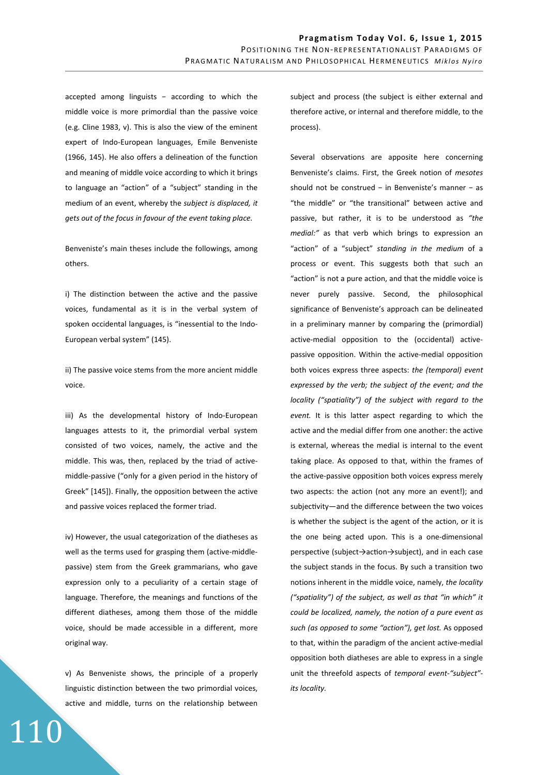accepted among linguists − according to which the middle voice is more primordial than the passive voice (e.g. Cline 1983, v). This is also the view of the eminent expert of Indo-European languages, Emile Benveniste (1966, 145). He also offers a delineation of the function and meaning of middle voice according to which it brings to language an "action" of a "subject" standing in the medium of an event, whereby the *subject is displaced, it gets out of the focus in favour of the event taking place.*

Benveniste's main theses include the followings, among others.

i) The distinction between the active and the passive voices, fundamental as it is in the verbal system of spoken occidental languages, is "inessential to the Indo-European verbal system" (145).

ii) The passive voice stems from the more ancient middle voice.

iii) As the developmental history of Indo-European languages attests to it, the primordial verbal system consisted of two voices, namely, the active and the middle. This was, then, replaced by the triad of activemiddle-passive ("only for a given period in the history of Greek" [145]). Finally, the opposition between the active and passive voices replaced the former triad.

iv) However, the usual categorization of the diatheses as well as the terms used for grasping them (active-middlepassive) stem from the Greek grammarians, who gave expression only to a peculiarity of a certain stage of language. Therefore, the meanings and functions of the different diatheses, among them those of the middle voice, should be made accessible in a different, more original way.

v) As Benveniste shows, the principle of a properly linguistic distinction between the two primordial voices, active and middle, turns on the relationship between

110

subject and process (the subject is either external and therefore active, or internal and therefore middle, to the process).

Several observations are apposite here concerning Benveniste's claims. First, the Greek notion of *mesotes*  should not be construed − in Benveniste's manner − as "the middle" or "the transitional" between active and passive, but rather, it is to be understood as *"the medial:"* as that verb which brings to expression an "action" of a "subject" *standing in the medium* of a process or event. This suggests both that such an "action" is not a pure action, and that the middle voice is never purely passive. Second, the philosophical significance of Benveniste's approach can be delineated in a preliminary manner by comparing the (primordial) active-medial opposition to the (occidental) activepassive opposition. Within the active-medial opposition both voices express three aspects: *the (temporal) event expressed by the verb; the subject of the event; and the locality ("spatiality") of the subject with regard to the event.* It is this latter aspect regarding to which the active and the medial differ from one another: the active is external, whereas the medial is internal to the event taking place. As opposed to that, within the frames of the active-passive opposition both voices express merely two aspects: the action (not any more an event!); and subjectivity-and the difference between the two voices is whether the subject is the agent of the action, or it is the one being acted upon. This is a one-dimensional perspective (subject→action→subject), and in each case the subject stands in the focus. By such a transition two notions inherent in the middle voice, namely, *the locality ("spatiality") of the subject, as well as that "in which" it could be localized, namely, the notion of a pure event as such (as opposed to some "action"), get lost.* As opposed to that, within the paradigm of the ancient active-medial opposition both diatheses are able to express in a single unit the threefold aspects of *temporal event-"subject" its locality.*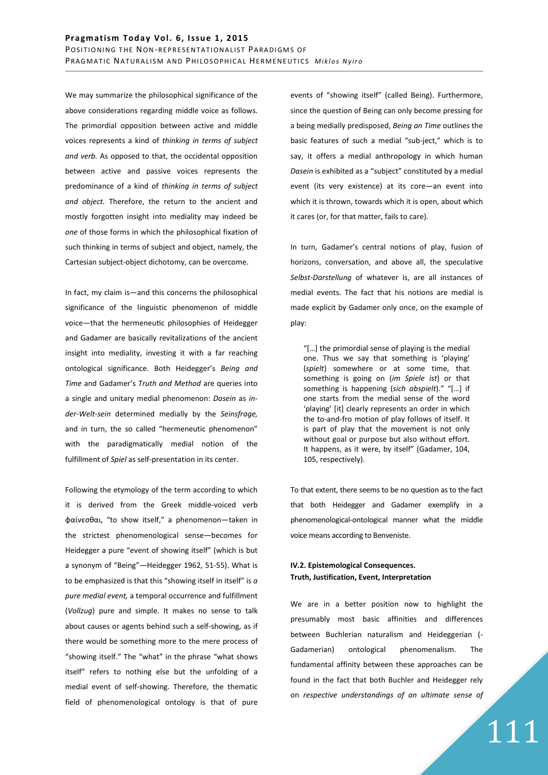We may summarize the philosophical significance of the above considerations regarding middle voice as follows. The primordial opposition between active and middle voices represents a kind of *thinking in terms of subject and verb.* As opposed to that, the occidental opposition between active and passive voices represents the predominance of a kind of *thinking in terms of subject and object.* Therefore, the return to the ancient and mostly forgotten insight into mediality may indeed be *one* of those forms in which the philosophical fixation of such thinking in terms of subject and object, namely, the Cartesian subject-object dichotomy, can be overcome.

In fact, my claim is―and this concerns the philosophical significance of the linguistic phenomenon of middle voice―that the hermeneufc philosophies of Heidegger and Gadamer are basically revitalizations of the ancient insight into mediality, investing it with a far reaching ontological significance. Both Heidegger's *Being and Time* and Gadamer's *Truth and Method* are queries into a single and unitary medial phenomenon: *Dasein* as *inder-Welt-sein* determined medially by the *Seinsfrage,*  and in turn, the so called "hermeneutic phenomenon" with the paradigmatically medial notion of the fulfillment of *Spiel* as self-presentation in its center.

Following the etymology of the term according to which it is derived from the Greek middle-voiced verb φαίνεσθαι, "to show itself," a phenomenon―taken in the strictest phenomenological sense―becomes for Heidegger a pure "event of showing itself" (which is but a synonym of "Being"―Heidegger 1962, 51-55). What is to be emphasized is that this "showing itself in itself" is *a pure medial event,* a temporal occurrence and fulfillment (*Vollzug*) pure and simple. It makes no sense to talk about causes or agents behind such a self-showing, as if there would be something more to the mere process of "showing itself." The "what" in the phrase "what shows itself" refers to nothing else but the unfolding of a medial event of self-showing. Therefore, the thematic field of phenomenological ontology is that of pure events of "showing itself" (called Being). Furthermore, since the question of Being can only become pressing for a being medially predisposed, *Being an Time* outlines the basic features of such a medial "sub-ject," which is to say, it offers a medial anthropology in which human *Dasein* is exhibited as a "subject" constituted by a medial event (its very existence) at its core―an event into which it is thrown, towards which it is open, about which it cares (or, for that matter, fails to care).

In turn, Gadamer's central notions of play, fusion of horizons, conversation, and above all, the speculative *Selbst-Darstellung* of whatever is, are all instances of medial events. The fact that his notions are medial is made explicit by Gadamer only once, on the example of play:

"[…] the primordial sense of playing is the medial one. Thus we say that something is 'playing' (*spielt*) somewhere or at some time, that something is going on (*im Spiele ist*) or that something is happening (*sich abspielt*)." "[…] if one starts from the medial sense of the word 'playing' [it] clearly represents an order in which the to-and-fro motion of play follows of itself. It is part of play that the movement is not only without goal or purpose but also without effort. It happens, as it were, by itself" (Gadamer, 104, 105, respectively).

To that extent, there seems to be no question as to the fact that both Heidegger and Gadamer exemplify in a phenomenological-ontological manner what the middle voice means according to Benveniste.

# **IV.2. Epistemological Consequences. Truth, Justification, Event, Interpretation**

We are in a better position now to highlight the presumably most basic affinities and differences between Buchlerian naturalism and Heideggerian (- Gadamerian) ontological phenomenalism. The fundamental affinity between these approaches can be found in the fact that both Buchler and Heidegger rely on *respective understandings of an ultimate sense of*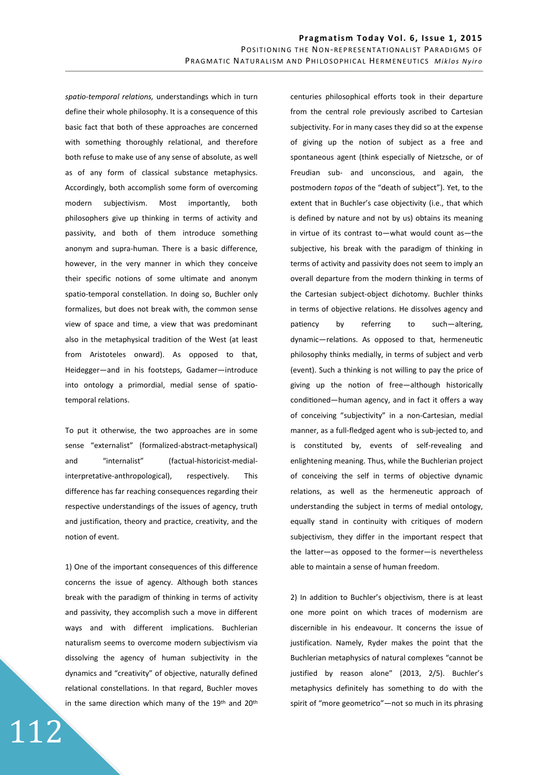*spatio-temporal relations,* understandings which in turn define their whole philosophy. It is a consequence of this basic fact that both of these approaches are concerned with something thoroughly relational, and therefore both refuse to make use of any sense of absolute, as well as of any form of classical substance metaphysics. Accordingly, both accomplish some form of overcoming modern subjectivism. Most importantly, both philosophers give up thinking in terms of activity and passivity, and both of them introduce something anonym and supra-human. There is a basic difference, however, in the very manner in which they conceive their specific notions of some ultimate and anonym spatio-temporal constellation. In doing so, Buchler only formalizes, but does not break with, the common sense view of space and time, a view that was predominant also in the metaphysical tradition of the West (at least from Aristoteles onward). As opposed to that, Heidegger―and in his footsteps, Gadamer―introduce into ontology a primordial, medial sense of spatiotemporal relations.

To put it otherwise, the two approaches are in some sense "externalist" (formalized-abstract-metaphysical) and "internalist" (factual-historicist-medialinterpretative-anthropological), respectively. This difference has far reaching consequences regarding their respective understandings of the issues of agency, truth and justification, theory and practice, creativity, and the notion of event.

1) One of the important consequences of this difference concerns the issue of agency. Although both stances break with the paradigm of thinking in terms of activity and passivity, they accomplish such a move in different ways and with different implications. Buchlerian naturalism seems to overcome modern subjectivism via dissolving the agency of human subjectivity in the dynamics and "creativity" of objective, naturally defined relational constellations. In that regard, Buchler moves in the same direction which many of the  $19<sup>th</sup>$  and  $20<sup>th</sup>$ 

112

centuries philosophical efforts took in their departure from the central role previously ascribed to Cartesian subjectivity. For in many cases they did so at the expense of giving up the notion of subject as a free and spontaneous agent (think especially of Nietzsche, or of Freudian sub- and unconscious, and again, the postmodern *topos* of the "death of subject"). Yet, to the extent that in Buchler's case objectivity (i.e., that which is defined by nature and not by us) obtains its meaning in virtue of its contrast to―what would count as―the subjective, his break with the paradigm of thinking in terms of activity and passivity does not seem to imply an overall departure from the modern thinking in terms of the Cartesian subject-object dichotomy. Buchler thinks in terms of objective relations. He dissolves agency and patiency by referring to such-altering, dynamic-relations. As opposed to that, hermeneutic philosophy thinks medially, in terms of subject and verb (event). Such a thinking is not willing to pay the price of giving up the notion of free-although historically conditioned—human agency, and in fact it offers a way of conceiving "subjectivity" in a non-Cartesian, medial manner, as a full-fledged agent who is sub-jected to, and is constituted by, events of self-revealing and enlightening meaning. Thus, while the Buchlerian project of conceiving the self in terms of objective dynamic relations, as well as the hermeneutic approach of understanding the subject in terms of medial ontology, equally stand in continuity with critiques of modern subjectivism, they differ in the important respect that the latter-as opposed to the former-is nevertheless able to maintain a sense of human freedom.

2) In addition to Buchler's objectivism, there is at least one more point on which traces of modernism are discernible in his endeavour. It concerns the issue of justification. Namely, Ryder makes the point that the Buchlerian metaphysics of natural complexes "cannot be justified by reason alone" (2013, 2/5). Buchler's metaphysics definitely has something to do with the spirit of "more geometrico" - not so much in its phrasing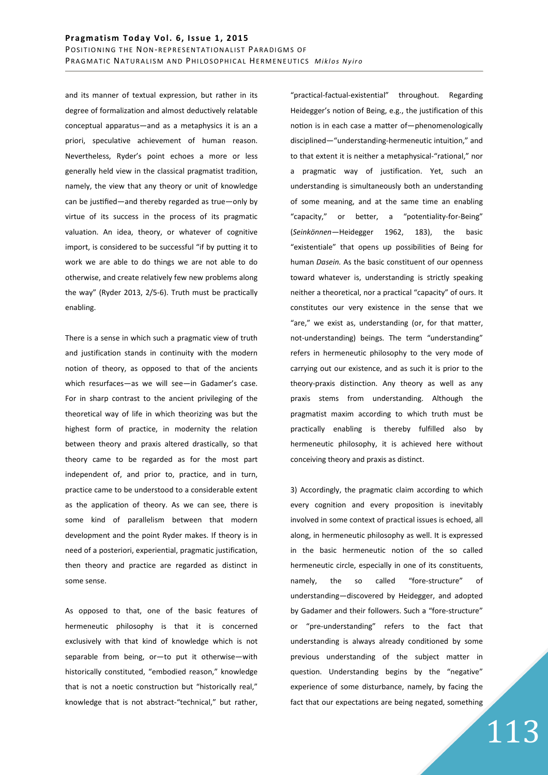and its manner of textual expression, but rather in its degree of formalization and almost deductively relatable conceptual apparatus―and as a metaphysics it is an a priori, speculative achievement of human reason. Nevertheless, Ryder's point echoes a more or less generally held view in the classical pragmatist tradition, namely, the view that any theory or unit of knowledge can be jusffied―and thereby regarded as true―only by virtue of its success in the process of its pragmatic valuation. An idea, theory, or whatever of cognitive import, is considered to be successful "if by putting it to work we are able to do things we are not able to do otherwise, and create relatively few new problems along the way" (Ryder 2013, 2/5-6). Truth must be practically enabling.

There is a sense in which such a pragmatic view of truth and justification stands in continuity with the modern notion of theory, as opposed to that of the ancients which resurfaces―as we will see―in Gadamer's case. For in sharp contrast to the ancient privileging of the theoretical way of life in which theorizing was but the highest form of practice, in modernity the relation between theory and praxis altered drastically, so that theory came to be regarded as for the most part independent of, and prior to, practice, and in turn, practice came to be understood to a considerable extent as the application of theory. As we can see, there is some kind of parallelism between that modern development and the point Ryder makes. If theory is in need of a posteriori, experiential, pragmatic justification, then theory and practice are regarded as distinct in some sense.

As opposed to that, one of the basic features of hermeneutic philosophy is that it is concerned exclusively with that kind of knowledge which is not separable from being, or―to put it otherwise―with historically constituted, "embodied reason," knowledge that is not a noetic construction but "historically real," knowledge that is not abstract-"technical," but rather, "practical-factual-existential" throughout. Regarding Heidegger's notion of Being, e.g., the justification of this notion is in each case a matter of-phenomenologically disciplined―"understanding-hermeneutic intuition," and to that extent it is neither a metaphysical-"rational," nor a pragmatic way of justification. Yet, such an understanding is simultaneously both an understanding of some meaning, and at the same time an enabling "capacity," or better, a "potentiality-for-Being" (*Seinkönnen―*Heidegger 1962, 183), the basic "existentiale" that opens up possibilities of Being for human *Dasein.* As the basic constituent of our openness toward whatever is, understanding is strictly speaking neither a theoretical, nor a practical "capacity" of ours. It constitutes our very existence in the sense that we "are," we exist as, understanding (or, for that matter, not-understanding) beings. The term "understanding" refers in hermeneutic philosophy to the very mode of carrying out our existence, and as such it is prior to the theory-praxis distinction. Any theory as well as any praxis stems from understanding. Although the pragmatist maxim according to which truth must be practically enabling is thereby fulfilled also by hermeneutic philosophy, it is achieved here without conceiving theory and praxis as distinct.

3) Accordingly, the pragmatic claim according to which every cognition and every proposition is inevitably involved in some context of practical issues is echoed, all along, in hermeneutic philosophy as well. It is expressed in the basic hermeneutic notion of the so called hermeneutic circle, especially in one of its constituents, namely, the so called "fore-structure" of understanding―discovered by Heidegger, and adopted by Gadamer and their followers. Such a "fore-structure" or "pre-understanding" refers to the fact that understanding is always already conditioned by some previous understanding of the subject matter in question. Understanding begins by the "negative" experience of some disturbance, namely, by facing the fact that our expectations are being negated, something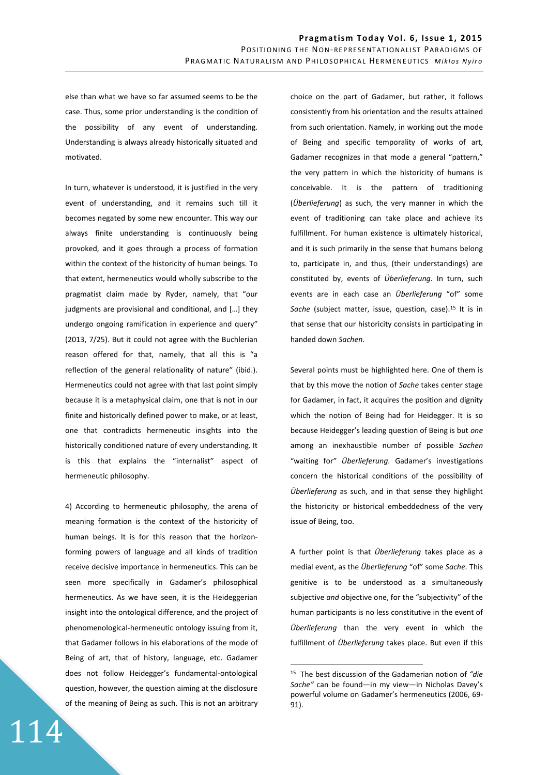else than what we have so far assumed seems to be the case. Thus, some prior understanding is the condition of the possibility of any event of understanding. Understanding is always already historically situated and motivated.

In turn, whatever is understood, it is justified in the very event of understanding, and it remains such till it becomes negated by some new encounter. This way our always finite understanding is continuously being provoked, and it goes through a process of formation within the context of the historicity of human beings. To that extent, hermeneutics would wholly subscribe to the pragmatist claim made by Ryder, namely, that "our judgments are provisional and conditional, and […] they undergo ongoing ramification in experience and query" (2013, 7/25). But it could not agree with the Buchlerian reason offered for that, namely, that all this is "a reflection of the general relationality of nature" (ibid.). Hermeneutics could not agree with that last point simply because it is a metaphysical claim, one that is not in our finite and historically defined power to make, or at least, one that contradicts hermeneutic insights into the historically conditioned nature of every understanding. It is this that explains the "internalist" aspect of hermeneutic philosophy.

4) According to hermeneutic philosophy, the arena of meaning formation is the context of the historicity of human beings. It is for this reason that the horizonforming powers of language and all kinds of tradition receive decisive importance in hermeneutics. This can be seen more specifically in Gadamer's philosophical hermeneutics. As we have seen, it is the Heideggerian insight into the ontological difference, and the project of phenomenological-hermeneutic ontology issuing from it, that Gadamer follows in his elaborations of the mode of Being of art, that of history, language, etc. Gadamer does not follow Heidegger's fundamental-ontological question, however, the question aiming at the disclosure of the meaning of Being as such. This is not an arbitrary choice on the part of Gadamer, but rather, it follows consistently from his orientation and the results attained from such orientation. Namely, in working out the mode of Being and specific temporality of works of art, Gadamer recognizes in that mode a general "pattern," the very pattern in which the historicity of humans is conceivable. It is the pattern of traditioning (*Überlieferung*) as such, the very manner in which the event of traditioning can take place and achieve its fulfillment. For human existence is ultimately historical, and it is such primarily in the sense that humans belong to, participate in, and thus, (their understandings) are constituted by, events of *Überlieferung.* In turn, such events are in each case an *Überlieferung* "of" some Sache (subject matter, issue, question, case).<sup>15</sup> It is in that sense that our historicity consists in participating in handed down *Sachen.* 

Several points must be highlighted here. One of them is that by this move the notion of *Sache* takes center stage for Gadamer, in fact, it acquires the position and dignity which the notion of Being had for Heidegger. It is so because Heidegger's leading question of Being is but *one*  among an inexhaustible number of possible *Sachen*  "waiting for" *Überlieferung.* Gadamer's investigations concern the historical conditions of the possibility of *Überlieferung* as such, and in that sense they highlight the historicity or historical embeddedness of the very issue of Being, too.

A further point is that *Überlieferung* takes place as a medial event, as the *Überlieferung* "of" some *Sache.* This genitive is to be understood as a simultaneously subjective *and* objective one, for the "subjectivity" of the human participants is no less constitutive in the event of *Überlieferung* than the very event in which the fulfillment of *Überlieferung* takes place. But even if this

 $\overline{a}$ 

<sup>15</sup> The best discussion of the Gadamerian notion of *"die Sache"* can be found―in my view―in Nicholas Davey's powerful volume on Gadamer's hermeneutics (2006, 69- 91).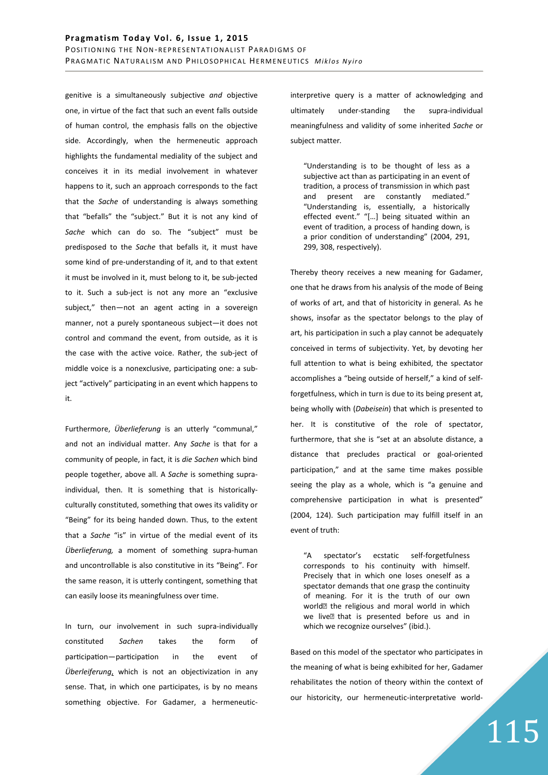genitive is a simultaneously subjective *and* objective one, in virtue of the fact that such an event falls outside of human control, the emphasis falls on the objective side. Accordingly, when the hermeneutic approach highlights the fundamental mediality of the subject and conceives it in its medial involvement in whatever happens to it, such an approach corresponds to the fact that the *Sache* of understanding is always something that "befalls" the "subject." But it is not any kind of *Sache* which can do so. The "subject" must be predisposed to the *Sache* that befalls it, it must have some kind of pre-understanding of it, and to that extent it must be involved in it, must belong to it, be sub-jected to it. Such a sub-ject is not any more an "exclusive subject," then-not an agent acting in a sovereign manner, not a purely spontaneous subject―it does not control and command the event, from outside, as it is the case with the active voice. Rather, the sub-ject of middle voice is a nonexclusive, participating one: a subject "actively" participating in an event which happens to it.

Furthermore, *Überlieferung* is an utterly "communal," and not an individual matter. Any *Sache* is that for a community of people, in fact, it is *die Sachen* which bind people together, above all. A *Sache* is something supraindividual, then. It is something that is historicallyculturally constituted, something that owes its validity or "Being" for its being handed down. Thus, to the extent that a *Sache* "is" in virtue of the medial event of its *Überlieferung,* a moment of something supra-human and uncontrollable is also constitutive in its "Being". For the same reason, it is utterly contingent, something that can easily loose its meaningfulness over time.

In turn, our involvement in such supra-individually constituted *Sachen* takes the form of participation—participation in the event of *Überleiferung*, which is not an objectivization in any sense. That, in which one participates, is by no means something objective. For Gadamer, a hermeneuticinterpretive query is a matter of acknowledging and ultimately under-standing the supra-individual meaningfulness and validity of some inherited *Sache* or subject matter*.* 

"Understanding is to be thought of less as a subjective act than as participating in an event of tradition, a process of transmission in which past and present are constantly mediated." "Understanding is, essentially, a historically effected event." "[…] being situated within an event of tradition, a process of handing down, is a prior condition of understanding" (2004, 291, 299, 308, respectively).

Thereby theory receives a new meaning for Gadamer, one that he draws from his analysis of the mode of Being of works of art, and that of historicity in general. As he shows, insofar as the spectator belongs to the play of art, his participation in such a play cannot be adequately conceived in terms of subjectivity. Yet, by devoting her full attention to what is being exhibited, the spectator accomplishes a "being outside of herself," a kind of selfforgetfulness, which in turn is due to its being present at, being wholly with (*Dabeisein*) that which is presented to her. It is constitutive of the role of spectator, furthermore, that she is "set at an absolute distance, a distance that precludes practical or goal-oriented participation," and at the same time makes possible seeing the play as a whole, which is "a genuine and comprehensive participation in what is presented" (2004, 124). Such participation may fulfill itself in an event of truth:

"A spectator's ecstatic self-forgetfulness corresponds to his continuity with himself. Precisely that in which one loses oneself as a spectator demands that one grasp the continuity of meaning. For it is the truth of our own world<sup>I</sup> the religious and moral world in which we live<sup>n</sup> that is presented before us and in which we recognize ourselves" (ibid.).

Based on this model of the spectator who participates in the meaning of what is being exhibited for her, Gadamer rehabilitates the notion of theory within the context of our historicity, our hermeneutic-interpretative world-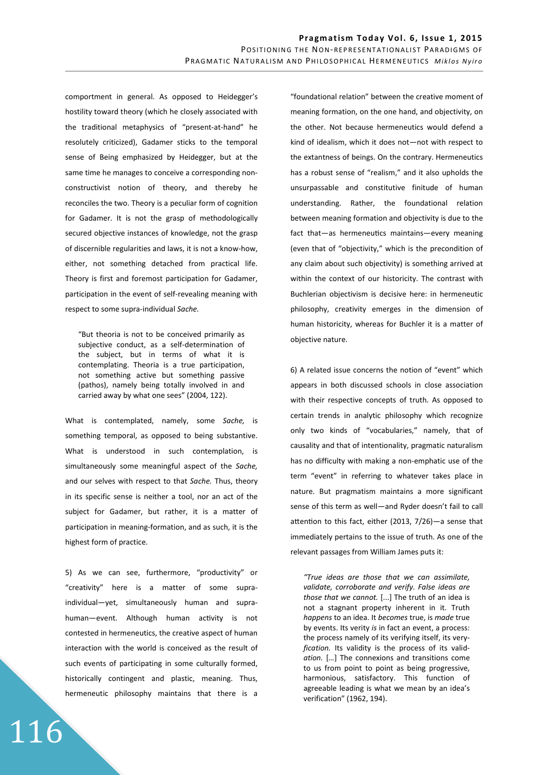comportment in general. As opposed to Heidegger's hostility toward theory (which he closely associated with the traditional metaphysics of "present-at-hand" he resolutely criticized), Gadamer sticks to the temporal sense of Being emphasized by Heidegger, but at the same time he manages to conceive a corresponding nonconstructivist notion of theory, and thereby he reconciles the two. Theory is a peculiar form of cognition for Gadamer. It is not the grasp of methodologically secured objective instances of knowledge, not the grasp of discernible regularities and laws, it is not a know-how, either, not something detached from practical life. Theory is first and foremost participation for Gadamer, participation in the event of self-revealing meaning with respect to some supra-individual *Sache.* 

"But theoria is not to be conceived primarily as subjective conduct, as a self-determination of the subject, but in terms of what it is contemplating. Theoria is a true participation, not something active but something passive (pathos), namely being totally involved in and carried away by what one sees" (2004, 122).

What is contemplated, namely, some *Sache,* is something temporal, as opposed to being substantive. What is understood in such contemplation, is simultaneously some meaningful aspect of the *Sache,*  and our selves with respect to that *Sache.* Thus, theory in its specific sense is neither a tool, nor an act of the subject for Gadamer, but rather, it is a matter of participation in meaning-formation, and as such, it is the highest form of practice.

5) As we can see, furthermore, "productivity" or "creativity" here is a matter of some supraindividual―yet, simultaneously human and suprahuman-event. Although human activity is not contested in hermeneutics, the creative aspect of human interaction with the world is conceived as the result of such events of participating in some culturally formed, historically contingent and plastic, meaning. Thus, hermeneutic philosophy maintains that there is a

116

"foundational relation" between the creative moment of meaning formation, on the one hand, and objectivity, on the other. Not because hermeneutics would defend a kind of idealism, which it does not―not with respect to the extantness of beings. On the contrary. Hermeneutics has a robust sense of "realism," and it also upholds the unsurpassable and constitutive finitude of human understanding. Rather, the foundational relation between meaning formation and objectivity is due to the fact that-as hermeneutics maintains-every meaning (even that of "objectivity," which is the precondition of any claim about such objectivity) is something arrived at within the context of our historicity. The contrast with Buchlerian objectivism is decisive here: in hermeneutic philosophy, creativity emerges in the dimension of human historicity, whereas for Buchler it is a matter of objective nature.

6) A related issue concerns the notion of "event" which appears in both discussed schools in close association with their respective concepts of truth. As opposed to certain trends in analytic philosophy which recognize only two kinds of "vocabularies," namely, that of causality and that of intentionality, pragmatic naturalism has no difficulty with making a non-emphatic use of the term "event" in referring to whatever takes place in nature. But pragmatism maintains a more significant sense of this term as well―and Ryder doesn't fail to call attention to this fact, either (2013,  $7/26$ ) — a sense that immediately pertains to the issue of truth. As one of the relevant passages from William James puts it:

*"True ideas are those that we can assimilate, validate, corroborate and verify. False ideas are those that we cannot.* [...] The truth of an idea is not a stagnant property inherent in it. Truth *happens* to an idea. It *becomes* true, is *made* true by events. Its verity *is* in fact an event, a process: the process namely of its verifying itself, its very*fication.* Its validity is the process of its valid*ation.* [*…*] The connexions and transitions come to us from point to point as being progressive, harmonious, satisfactory. This function of agreeable leading is what we mean by an idea's verification" (1962, 194).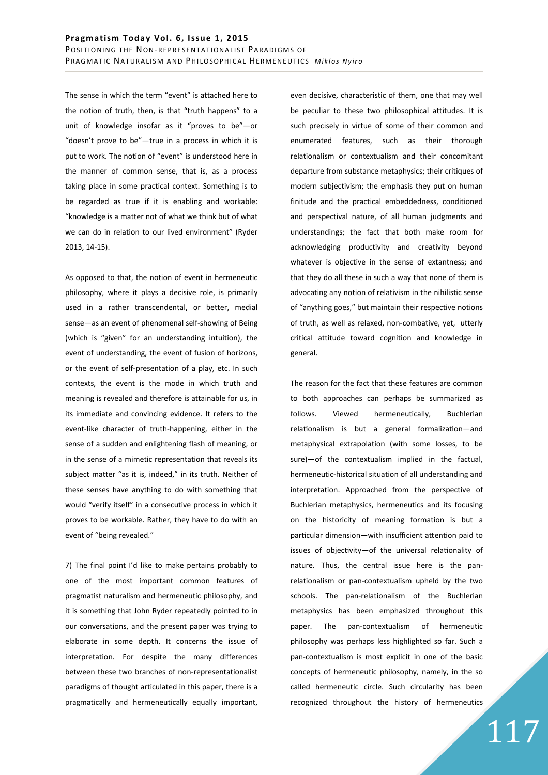The sense in which the term "event" is attached here to the notion of truth, then, is that "truth happens" to a unit of knowledge insofar as it "proves to be"―or "doesn't prove to be"―true in a process in which it is put to work. The notion of "event" is understood here in the manner of common sense, that is, as a process taking place in some practical context. Something is to be regarded as true if it is enabling and workable: "knowledge is a matter not of what we think but of what we can do in relation to our lived environment" (Ryder 2013, 14-15).

As opposed to that, the notion of event in hermeneutic philosophy, where it plays a decisive role, is primarily used in a rather transcendental, or better, medial sense―as an event of phenomenal self-showing of Being (which is "given" for an understanding intuition), the event of understanding, the event of fusion of horizons, or the event of self-presentation of a play, etc. In such contexts, the event is the mode in which truth and meaning is revealed and therefore is attainable for us, in its immediate and convincing evidence. It refers to the event-like character of truth-happening, either in the sense of a sudden and enlightening flash of meaning, or in the sense of a mimetic representation that reveals its subject matter "as it is, indeed," in its truth. Neither of these senses have anything to do with something that would "verify itself" in a consecutive process in which it proves to be workable. Rather, they have to do with an event of "being revealed."

7) The final point I'd like to make pertains probably to one of the most important common features of pragmatist naturalism and hermeneutic philosophy, and it is something that John Ryder repeatedly pointed to in our conversations, and the present paper was trying to elaborate in some depth. It concerns the issue of interpretation. For despite the many differences between these two branches of non-representationalist paradigms of thought articulated in this paper, there is a pragmatically and hermeneutically equally important, even decisive, characteristic of them, one that may well be peculiar to these two philosophical attitudes. It is such precisely in virtue of some of their common and enumerated features, such as their thorough relationalism or contextualism and their concomitant departure from substance metaphysics; their critiques of modern subjectivism; the emphasis they put on human finitude and the practical embeddedness, conditioned and perspectival nature, of all human judgments and understandings; the fact that both make room for acknowledging productivity and creativity beyond whatever is objective in the sense of extantness; and that they do all these in such a way that none of them is advocating any notion of relativism in the nihilistic sense of "anything goes," but maintain their respective notions of truth, as well as relaxed, non-combative, yet, utterly critical attitude toward cognition and knowledge in general.

The reason for the fact that these features are common to both approaches can perhaps be summarized as follows. Viewed hermeneutically, Buchlerian relationalism is but a general formalization-and metaphysical extrapolation (with some losses, to be sure)-of the contextualism implied in the factual, hermeneutic-historical situation of all understanding and interpretation. Approached from the perspective of Buchlerian metaphysics, hermeneutics and its focusing on the historicity of meaning formation is but a particular dimension—with insufficient attention paid to issues of objectivity-of the universal relationality of nature. Thus, the central issue here is the panrelationalism or pan-contextualism upheld by the two schools. The pan-relationalism of the Buchlerian metaphysics has been emphasized throughout this paper. The pan-contextualism of hermeneutic philosophy was perhaps less highlighted so far. Such a pan-contextualism is most explicit in one of the basic concepts of hermeneutic philosophy, namely, in the so called hermeneutic circle. Such circularity has been recognized throughout the history of hermeneutics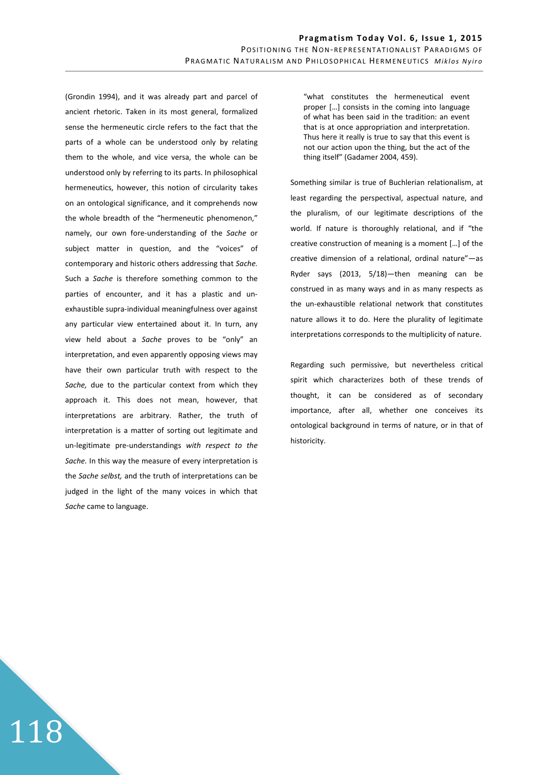(Grondin 1994), and it was already part and parcel of ancient rhetoric. Taken in its most general, formalized sense the hermeneutic circle refers to the fact that the parts of a whole can be understood only by relating them to the whole, and vice versa, the whole can be understood only by referring to its parts. In philosophical hermeneutics, however, this notion of circularity takes on an ontological significance, and it comprehends now the whole breadth of the "hermeneutic phenomenon," namely, our own fore-understanding of the *Sache* or subject matter in question, and the "voices" of contemporary and historic others addressing that *Sache.*  Such a *Sache* is therefore something common to the parties of encounter, and it has a plastic and unexhaustible supra-individual meaningfulness over against any particular view entertained about it. In turn, any view held about a *Sache* proves to be "only" an interpretation, and even apparently opposing views may have their own particular truth with respect to the *Sache,* due to the particular context from which they approach it. This does not mean, however, that interpretations are arbitrary. Rather, the truth of interpretation is a matter of sorting out legitimate and un-legitimate pre-understandings *with respect to the Sache.* In this way the measure of every interpretation is the *Sache selbst,* and the truth of interpretations can be judged in the light of the many voices in which that *Sache* came to language.

118

"what constitutes the hermeneutical event proper […] consists in the coming into language of what has been said in the tradition: an event that is at once appropriation and interpretation. Thus here it really is true to say that this event is not our action upon the thing, but the act of the thing itself" (Gadamer 2004, 459).

Something similar is true of Buchlerian relationalism, at least regarding the perspectival, aspectual nature, and the pluralism, of our legitimate descriptions of the world. If nature is thoroughly relational, and if "the creative construction of meaning is a moment […] of the creative dimension of a relational, ordinal nature"-as Ryder says (2013, 5/18)―then meaning can be construed in as many ways and in as many respects as the un-exhaustible relational network that constitutes nature allows it to do. Here the plurality of legitimate interpretations corresponds to the multiplicity of nature.

Regarding such permissive, but nevertheless critical spirit which characterizes both of these trends of thought, it can be considered as of secondary importance, after all, whether one conceives its ontological background in terms of nature, or in that of historicity.